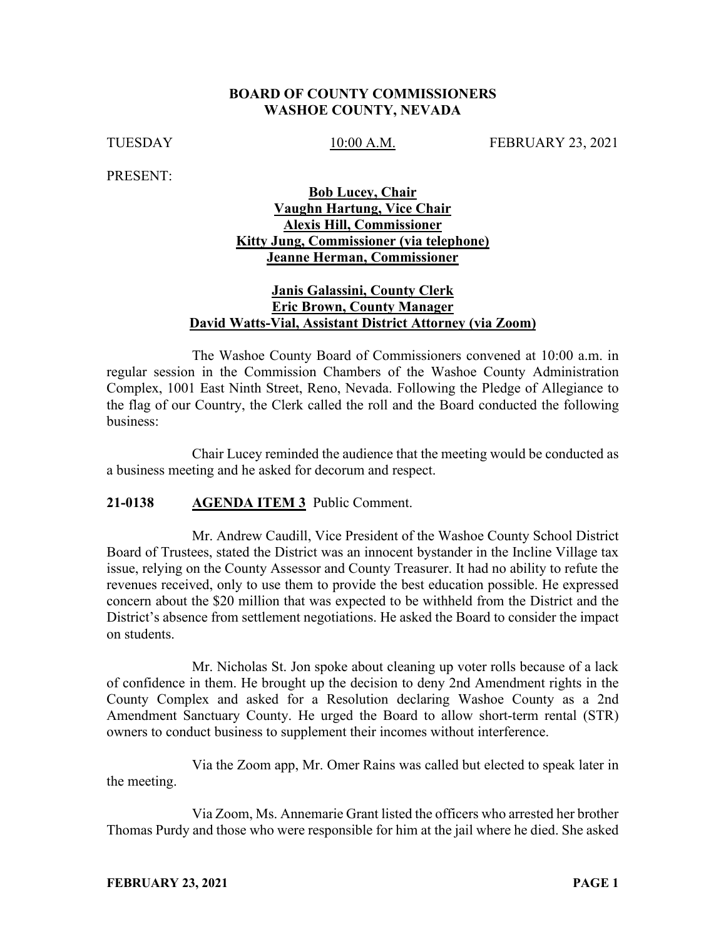#### **BOARD OF COUNTY COMMISSIONERS WASHOE COUNTY, NEVADA**

TUESDAY 10:00 A.M. FEBRUARY 23, 2021

PRESENT:

## **Bob Lucey, Chair Vaughn Hartung, Vice Chair Alexis Hill, Commissioner Kitty Jung, Commissioner (via telephone) Jeanne Herman, Commissioner**

## **Janis Galassini, County Clerk Eric Brown, County Manager David Watts-Vial, Assistant District Attorney (via Zoom)**

The Washoe County Board of Commissioners convened at 10:00 a.m. in regular session in the Commission Chambers of the Washoe County Administration Complex, 1001 East Ninth Street, Reno, Nevada. Following the Pledge of Allegiance to the flag of our Country, the Clerk called the roll and the Board conducted the following business:

Chair Lucey reminded the audience that the meeting would be conducted as a business meeting and he asked for decorum and respect.

## **21-0138 AGENDA ITEM 3** Public Comment.

Mr. Andrew Caudill, Vice President of the Washoe County School District Board of Trustees, stated the District was an innocent bystander in the Incline Village tax issue, relying on the County Assessor and County Treasurer. It had no ability to refute the revenues received, only to use them to provide the best education possible. He expressed concern about the \$20 million that was expected to be withheld from the District and the District's absence from settlement negotiations. He asked the Board to consider the impact on students.

Mr. Nicholas St. Jon spoke about cleaning up voter rolls because of a lack of confidence in them. He brought up the decision to deny 2nd Amendment rights in the County Complex and asked for a Resolution declaring Washoe County as a 2nd Amendment Sanctuary County. He urged the Board to allow short-term rental (STR) owners to conduct business to supplement their incomes without interference.

Via the Zoom app, Mr. Omer Rains was called but elected to speak later in the meeting.

Via Zoom, Ms. Annemarie Grant listed the officers who arrested her brother Thomas Purdy and those who were responsible for him at the jail where he died. She asked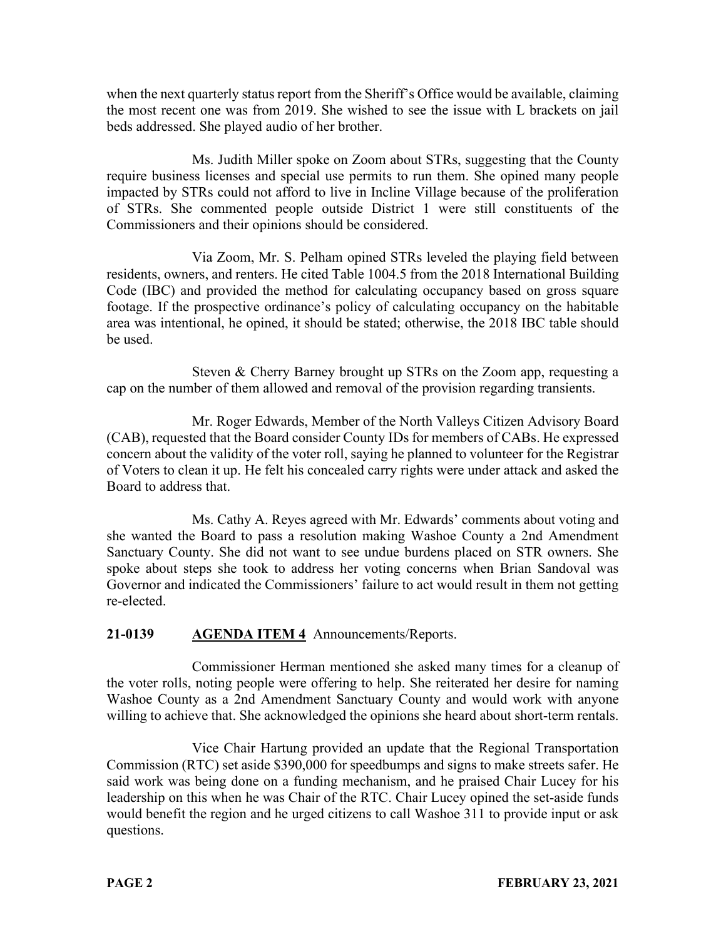when the next quarterly status report from the Sheriff's Office would be available, claiming the most recent one was from 2019. She wished to see the issue with L brackets on jail beds addressed. She played audio of her brother.

Ms. Judith Miller spoke on Zoom about STRs, suggesting that the County require business licenses and special use permits to run them. She opined many people impacted by STRs could not afford to live in Incline Village because of the proliferation of STRs. She commented people outside District 1 were still constituents of the Commissioners and their opinions should be considered.

Via Zoom, Mr. S. Pelham opined STRs leveled the playing field between residents, owners, and renters. He cited Table 1004.5 from the 2018 International Building Code (IBC) and provided the method for calculating occupancy based on gross square footage. If the prospective ordinance's policy of calculating occupancy on the habitable area was intentional, he opined, it should be stated; otherwise, the 2018 IBC table should be used.

Steven & Cherry Barney brought up STRs on the Zoom app, requesting a cap on the number of them allowed and removal of the provision regarding transients.

Mr. Roger Edwards, Member of the North Valleys Citizen Advisory Board (CAB), requested that the Board consider County IDs for members of CABs. He expressed concern about the validity of the voter roll, saying he planned to volunteer for the Registrar of Voters to clean it up. He felt his concealed carry rights were under attack and asked the Board to address that.

Ms. Cathy A. Reyes agreed with Mr. Edwards' comments about voting and she wanted the Board to pass a resolution making Washoe County a 2nd Amendment Sanctuary County. She did not want to see undue burdens placed on STR owners. She spoke about steps she took to address her voting concerns when Brian Sandoval was Governor and indicated the Commissioners' failure to act would result in them not getting re-elected.

# **21-0139 AGENDA ITEM 4** Announcements/Reports.

Commissioner Herman mentioned she asked many times for a cleanup of the voter rolls, noting people were offering to help. She reiterated her desire for naming Washoe County as a 2nd Amendment Sanctuary County and would work with anyone willing to achieve that. She acknowledged the opinions she heard about short-term rentals.

Vice Chair Hartung provided an update that the Regional Transportation Commission (RTC) set aside \$390,000 for speedbumps and signs to make streets safer. He said work was being done on a funding mechanism, and he praised Chair Lucey for his leadership on this when he was Chair of the RTC. Chair Lucey opined the set-aside funds would benefit the region and he urged citizens to call Washoe 311 to provide input or ask questions.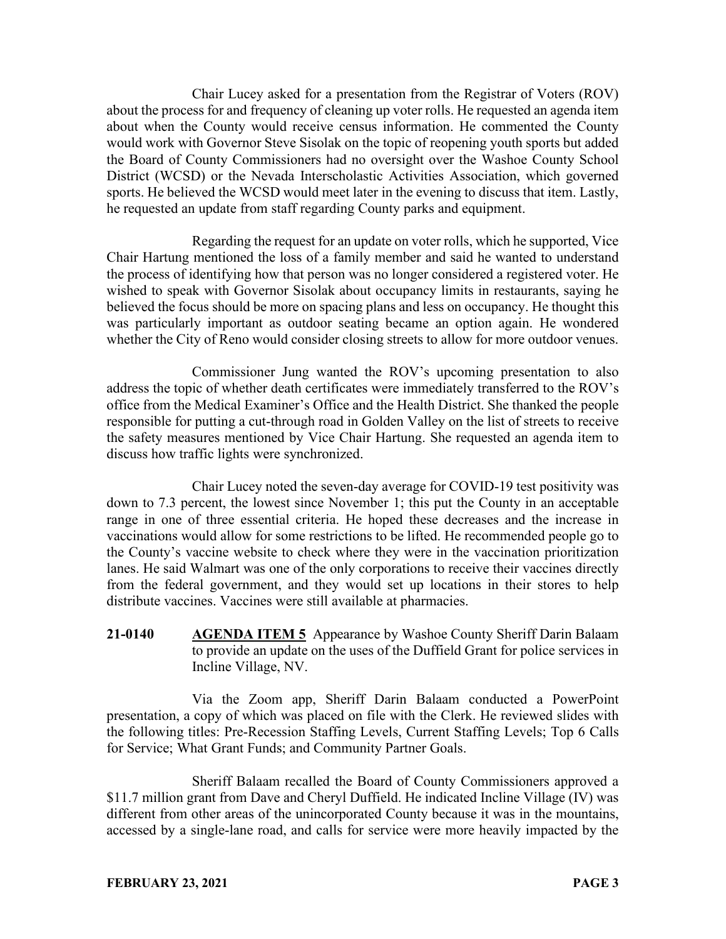Chair Lucey asked for a presentation from the Registrar of Voters (ROV) about the process for and frequency of cleaning up voter rolls. He requested an agenda item about when the County would receive census information. He commented the County would work with Governor Steve Sisolak on the topic of reopening youth sports but added the Board of County Commissioners had no oversight over the Washoe County School District (WCSD) or the Nevada Interscholastic Activities Association, which governed sports. He believed the WCSD would meet later in the evening to discuss that item. Lastly, he requested an update from staff regarding County parks and equipment.

Regarding the request for an update on voter rolls, which he supported, Vice Chair Hartung mentioned the loss of a family member and said he wanted to understand the process of identifying how that person was no longer considered a registered voter. He wished to speak with Governor Sisolak about occupancy limits in restaurants, saying he believed the focus should be more on spacing plans and less on occupancy. He thought this was particularly important as outdoor seating became an option again. He wondered whether the City of Reno would consider closing streets to allow for more outdoor venues.

Commissioner Jung wanted the ROV's upcoming presentation to also address the topic of whether death certificates were immediately transferred to the ROV's office from the Medical Examiner's Office and the Health District. She thanked the people responsible for putting a cut-through road in Golden Valley on the list of streets to receive the safety measures mentioned by Vice Chair Hartung. She requested an agenda item to discuss how traffic lights were synchronized.

Chair Lucey noted the seven-day average for COVID-19 test positivity was down to 7.3 percent, the lowest since November 1; this put the County in an acceptable range in one of three essential criteria. He hoped these decreases and the increase in vaccinations would allow for some restrictions to be lifted. He recommended people go to the County's vaccine website to check where they were in the vaccination prioritization lanes. He said Walmart was one of the only corporations to receive their vaccines directly from the federal government, and they would set up locations in their stores to help distribute vaccines. Vaccines were still available at pharmacies.

**21-0140 AGENDA ITEM 5** Appearance by Washoe County Sheriff Darin Balaam to provide an update on the uses of the Duffield Grant for police services in Incline Village, NV.

Via the Zoom app, Sheriff Darin Balaam conducted a PowerPoint presentation, a copy of which was placed on file with the Clerk. He reviewed slides with the following titles: Pre-Recession Staffing Levels, Current Staffing Levels; Top 6 Calls for Service; What Grant Funds; and Community Partner Goals.

Sheriff Balaam recalled the Board of County Commissioners approved a \$11.7 million grant from Dave and Cheryl Duffield. He indicated Incline Village (IV) was different from other areas of the unincorporated County because it was in the mountains, accessed by a single-lane road, and calls for service were more heavily impacted by the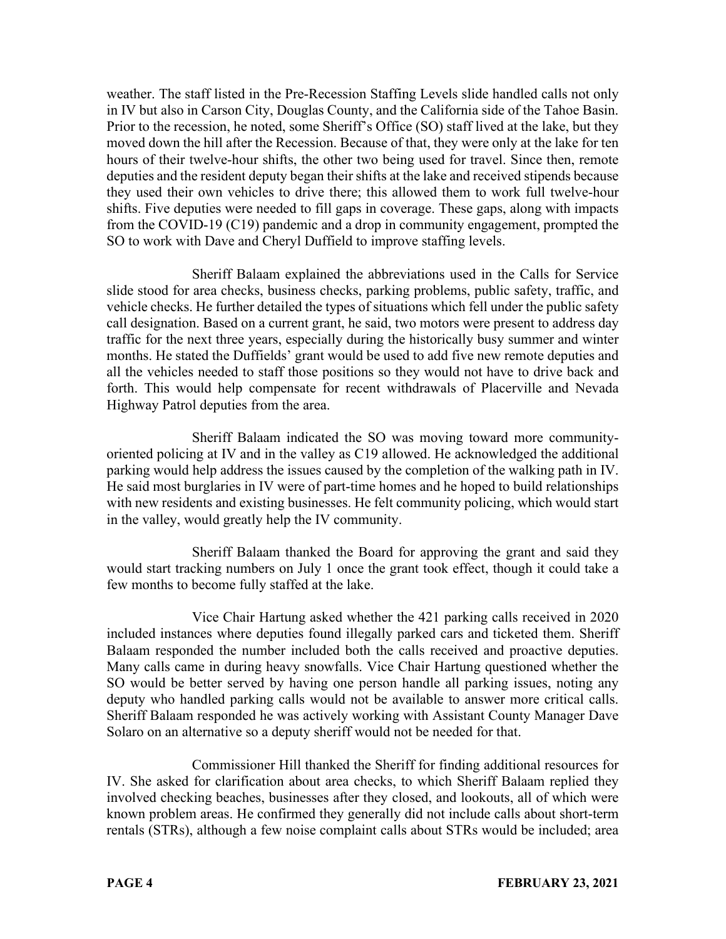weather. The staff listed in the Pre-Recession Staffing Levels slide handled calls not only in IV but also in Carson City, Douglas County, and the California side of the Tahoe Basin. Prior to the recession, he noted, some Sheriff's Office (SO) staff lived at the lake, but they moved down the hill after the Recession. Because of that, they were only at the lake for ten hours of their twelve-hour shifts, the other two being used for travel. Since then, remote deputies and the resident deputy began their shifts at the lake and received stipends because they used their own vehicles to drive there; this allowed them to work full twelve-hour shifts. Five deputies were needed to fill gaps in coverage. These gaps, along with impacts from the COVID-19 (C19) pandemic and a drop in community engagement, prompted the SO to work with Dave and Cheryl Duffield to improve staffing levels.

Sheriff Balaam explained the abbreviations used in the Calls for Service slide stood for area checks, business checks, parking problems, public safety, traffic, and vehicle checks. He further detailed the types of situations which fell under the public safety call designation. Based on a current grant, he said, two motors were present to address day traffic for the next three years, especially during the historically busy summer and winter months. He stated the Duffields' grant would be used to add five new remote deputies and all the vehicles needed to staff those positions so they would not have to drive back and forth. This would help compensate for recent withdrawals of Placerville and Nevada Highway Patrol deputies from the area.

Sheriff Balaam indicated the SO was moving toward more communityoriented policing at IV and in the valley as C19 allowed. He acknowledged the additional parking would help address the issues caused by the completion of the walking path in IV. He said most burglaries in IV were of part-time homes and he hoped to build relationships with new residents and existing businesses. He felt community policing, which would start in the valley, would greatly help the IV community.

Sheriff Balaam thanked the Board for approving the grant and said they would start tracking numbers on July 1 once the grant took effect, though it could take a few months to become fully staffed at the lake.

Vice Chair Hartung asked whether the 421 parking calls received in 2020 included instances where deputies found illegally parked cars and ticketed them. Sheriff Balaam responded the number included both the calls received and proactive deputies. Many calls came in during heavy snowfalls. Vice Chair Hartung questioned whether the SO would be better served by having one person handle all parking issues, noting any deputy who handled parking calls would not be available to answer more critical calls. Sheriff Balaam responded he was actively working with Assistant County Manager Dave Solaro on an alternative so a deputy sheriff would not be needed for that.

Commissioner Hill thanked the Sheriff for finding additional resources for IV. She asked for clarification about area checks, to which Sheriff Balaam replied they involved checking beaches, businesses after they closed, and lookouts, all of which were known problem areas. He confirmed they generally did not include calls about short-term rentals (STRs), although a few noise complaint calls about STRs would be included; area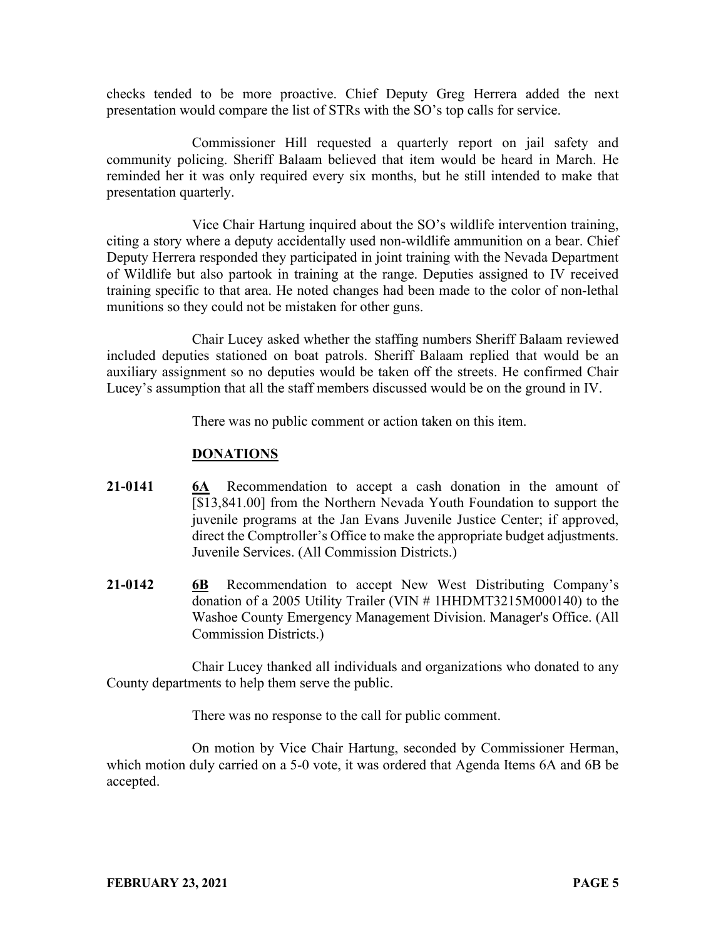checks tended to be more proactive. Chief Deputy Greg Herrera added the next presentation would compare the list of STRs with the SO's top calls for service.

Commissioner Hill requested a quarterly report on jail safety and community policing. Sheriff Balaam believed that item would be heard in March. He reminded her it was only required every six months, but he still intended to make that presentation quarterly.

Vice Chair Hartung inquired about the SO's wildlife intervention training, citing a story where a deputy accidentally used non-wildlife ammunition on a bear. Chief Deputy Herrera responded they participated in joint training with the Nevada Department of Wildlife but also partook in training at the range. Deputies assigned to IV received training specific to that area. He noted changes had been made to the color of non-lethal munitions so they could not be mistaken for other guns.

Chair Lucey asked whether the staffing numbers Sheriff Balaam reviewed included deputies stationed on boat patrols. Sheriff Balaam replied that would be an auxiliary assignment so no deputies would be taken off the streets. He confirmed Chair Lucey's assumption that all the staff members discussed would be on the ground in IV.

There was no public comment or action taken on this item.

#### **DONATIONS**

- **21-0141 6A** Recommendation to accept a cash donation in the amount of [\$13,841.00] from the Northern Nevada Youth Foundation to support the juvenile programs at the Jan Evans Juvenile Justice Center; if approved, direct the Comptroller's Office to make the appropriate budget adjustments. Juvenile Services. (All Commission Districts.)
- **21-0142 6B** Recommendation to accept New West Distributing Company's donation of a 2005 Utility Trailer (VIN # 1HHDMT3215M000140) to the Washoe County Emergency Management Division. Manager's Office. (All Commission Districts.)

Chair Lucey thanked all individuals and organizations who donated to any County departments to help them serve the public.

There was no response to the call for public comment.

On motion by Vice Chair Hartung, seconded by Commissioner Herman, which motion duly carried on a 5-0 vote, it was ordered that Agenda Items 6A and 6B be accepted.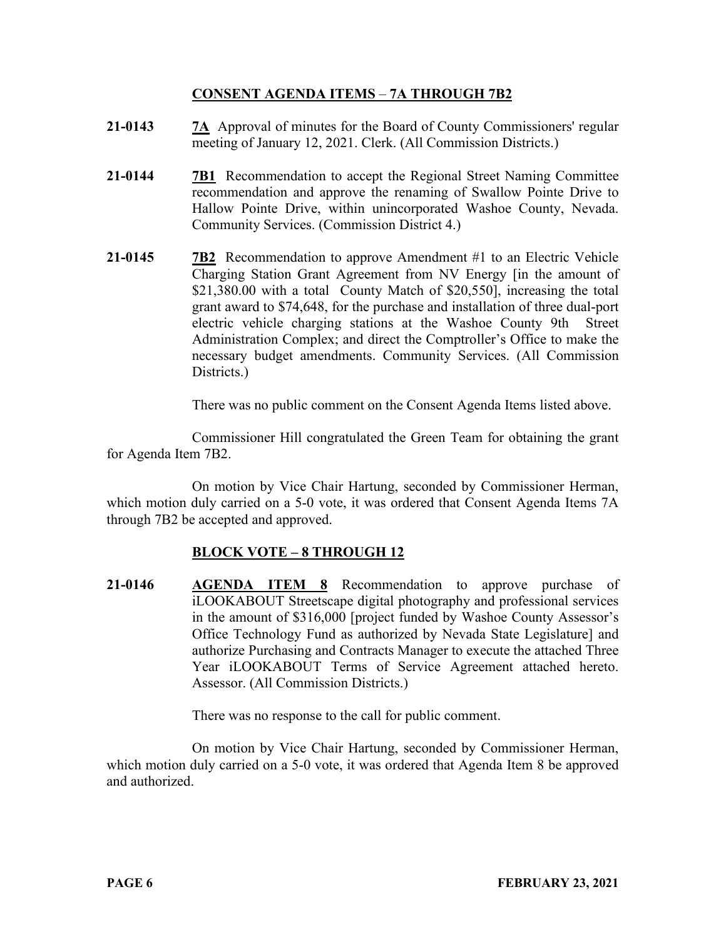## **CONSENT AGENDA ITEMS** – **7A THROUGH 7B2**

- **21-0143 7A** Approval of minutes for the Board of County Commissioners' regular meeting of January 12, 2021. Clerk. (All Commission Districts.)
- **21-0144 7B1** Recommendation to accept the Regional Street Naming Committee recommendation and approve the renaming of Swallow Pointe Drive to Hallow Pointe Drive, within unincorporated Washoe County, Nevada. Community Services. (Commission District 4.)
- **21-0145 7B2** Recommendation to approve Amendment #1 to an Electric Vehicle Charging Station Grant Agreement from NV Energy [in the amount of \$21,380.00 with a total County Match of \$20,550], increasing the total grant award to \$74,648, for the purchase and installation of three dual-port electric vehicle charging stations at the Washoe County 9th Street Administration Complex; and direct the Comptroller's Office to make the necessary budget amendments. Community Services. (All Commission Districts.)

There was no public comment on the Consent Agenda Items listed above.

Commissioner Hill congratulated the Green Team for obtaining the grant for Agenda Item 7B2.

On motion by Vice Chair Hartung, seconded by Commissioner Herman, which motion duly carried on a 5-0 vote, it was ordered that Consent Agenda Items 7A through 7B2 be accepted and approved.

# **BLOCK VOTE – 8 THROUGH 12**

**21-0146 AGENDA ITEM 8** Recommendation to approve purchase of iLOOKABOUT Streetscape digital photography and professional services in the amount of \$316,000 [project funded by Washoe County Assessor's Office Technology Fund as authorized by Nevada State Legislature] and authorize Purchasing and Contracts Manager to execute the attached Three Year iLOOKABOUT Terms of Service Agreement attached hereto. Assessor. (All Commission Districts.)

There was no response to the call for public comment.

On motion by Vice Chair Hartung, seconded by Commissioner Herman, which motion duly carried on a 5-0 vote, it was ordered that Agenda Item 8 be approved and authorized.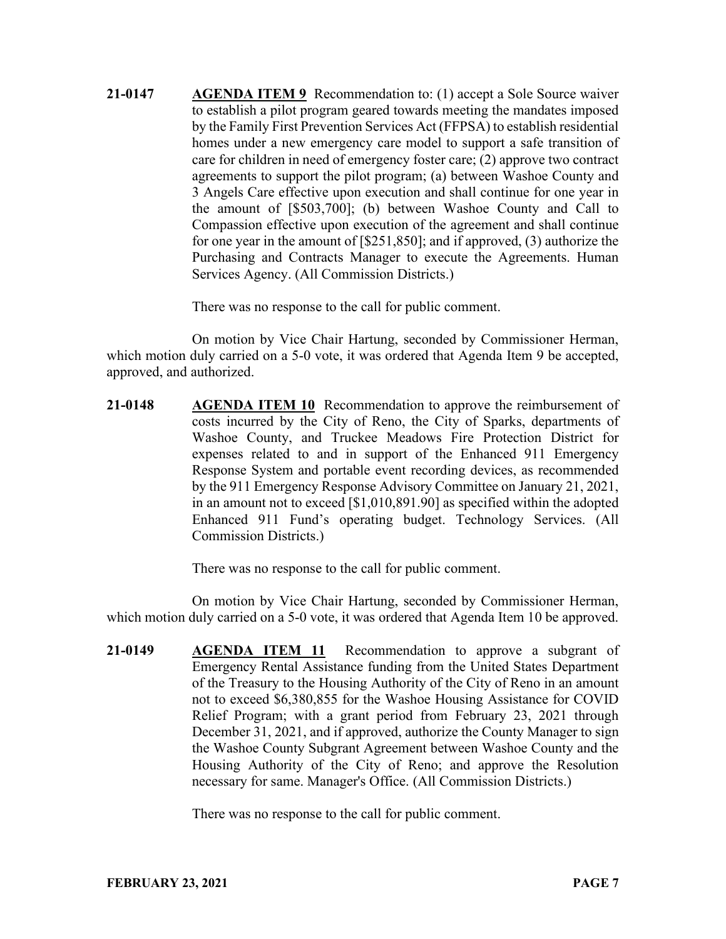**21-0147 AGENDA ITEM 9** Recommendation to: (1) accept a Sole Source waiver to establish a pilot program geared towards meeting the mandates imposed by the Family First Prevention Services Act (FFPSA) to establish residential homes under a new emergency care model to support a safe transition of care for children in need of emergency foster care; (2) approve two contract agreements to support the pilot program; (a) between Washoe County and 3 Angels Care effective upon execution and shall continue for one year in the amount of [\$503,700]; (b) between Washoe County and Call to Compassion effective upon execution of the agreement and shall continue for one year in the amount of [\$251,850]; and if approved, (3) authorize the Purchasing and Contracts Manager to execute the Agreements. Human Services Agency. (All Commission Districts.)

There was no response to the call for public comment.

On motion by Vice Chair Hartung, seconded by Commissioner Herman, which motion duly carried on a 5-0 vote, it was ordered that Agenda Item 9 be accepted, approved, and authorized.

**21-0148 AGENDA ITEM 10** Recommendation to approve the reimbursement of costs incurred by the City of Reno, the City of Sparks, departments of Washoe County, and Truckee Meadows Fire Protection District for expenses related to and in support of the Enhanced 911 Emergency Response System and portable event recording devices, as recommended by the 911 Emergency Response Advisory Committee on January 21, 2021, in an amount not to exceed [\$1,010,891.90] as specified within the adopted Enhanced 911 Fund's operating budget. Technology Services. (All Commission Districts.)

There was no response to the call for public comment.

On motion by Vice Chair Hartung, seconded by Commissioner Herman, which motion duly carried on a 5-0 vote, it was ordered that Agenda Item 10 be approved.

**21-0149 AGENDA ITEM 11** Recommendation to approve a subgrant of Emergency Rental Assistance funding from the United States Department of the Treasury to the Housing Authority of the City of Reno in an amount not to exceed \$6,380,855 for the Washoe Housing Assistance for COVID Relief Program; with a grant period from February 23, 2021 through December 31, 2021, and if approved, authorize the County Manager to sign the Washoe County Subgrant Agreement between Washoe County and the Housing Authority of the City of Reno; and approve the Resolution necessary for same. Manager's Office. (All Commission Districts.)

There was no response to the call for public comment.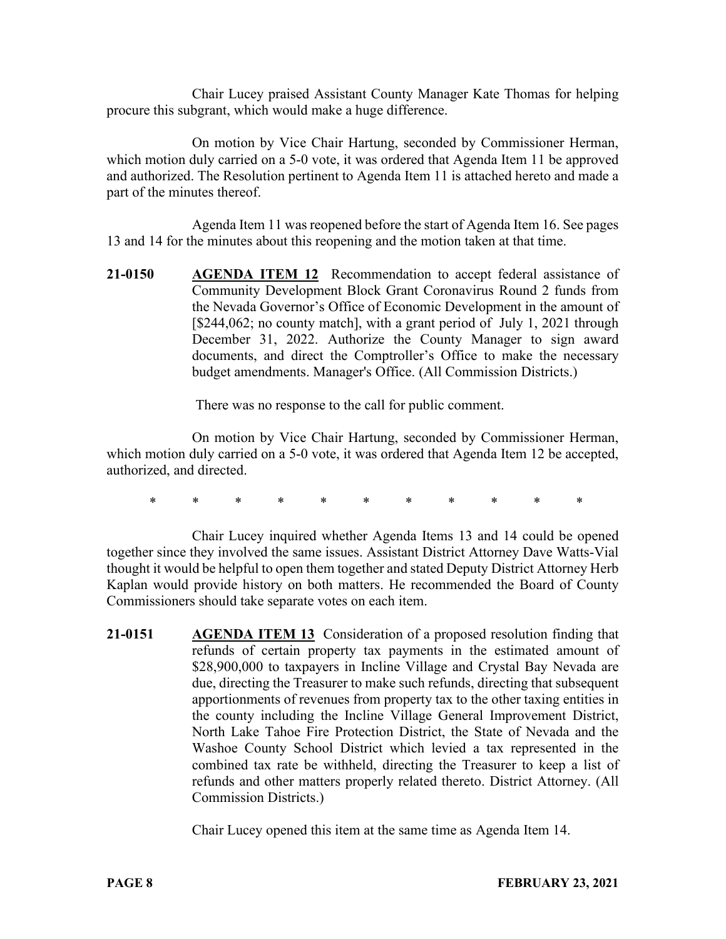Chair Lucey praised Assistant County Manager Kate Thomas for helping procure this subgrant, which would make a huge difference.

On motion by Vice Chair Hartung, seconded by Commissioner Herman, which motion duly carried on a 5-0 vote, it was ordered that Agenda Item 11 be approved and authorized. The Resolution pertinent to Agenda Item 11 is attached hereto and made a part of the minutes thereof.

Agenda Item 11 was reopened before the start of Agenda Item 16. See pages 13 and 14 for the minutes about this reopening and the motion taken at that time.

**21-0150 AGENDA ITEM 12** Recommendation to accept federal assistance of Community Development Block Grant Coronavirus Round 2 funds from the Nevada Governor's Office of Economic Development in the amount of [\$244,062; no county match], with a grant period of July 1, 2021 through December 31, 2022. Authorize the County Manager to sign award documents, and direct the Comptroller's Office to make the necessary budget amendments. Manager's Office. (All Commission Districts.)

There was no response to the call for public comment.

On motion by Vice Chair Hartung, seconded by Commissioner Herman, which motion duly carried on a 5-0 vote, it was ordered that Agenda Item 12 be accepted, authorized, and directed.

\* \* \* \* \* \* \* \* \* \* \*

Chair Lucey inquired whether Agenda Items 13 and 14 could be opened together since they involved the same issues. Assistant District Attorney Dave Watts-Vial thought it would be helpful to open them together and stated Deputy District Attorney Herb Kaplan would provide history on both matters. He recommended the Board of County Commissioners should take separate votes on each item.

**21-0151 AGENDA ITEM 13** Consideration of a proposed resolution finding that refunds of certain property tax payments in the estimated amount of \$28,900,000 to taxpayers in Incline Village and Crystal Bay Nevada are due, directing the Treasurer to make such refunds, directing that subsequent apportionments of revenues from property tax to the other taxing entities in the county including the Incline Village General Improvement District, North Lake Tahoe Fire Protection District, the State of Nevada and the Washoe County School District which levied a tax represented in the combined tax rate be withheld, directing the Treasurer to keep a list of refunds and other matters properly related thereto. District Attorney. (All Commission Districts.)

Chair Lucey opened this item at the same time as Agenda Item 14.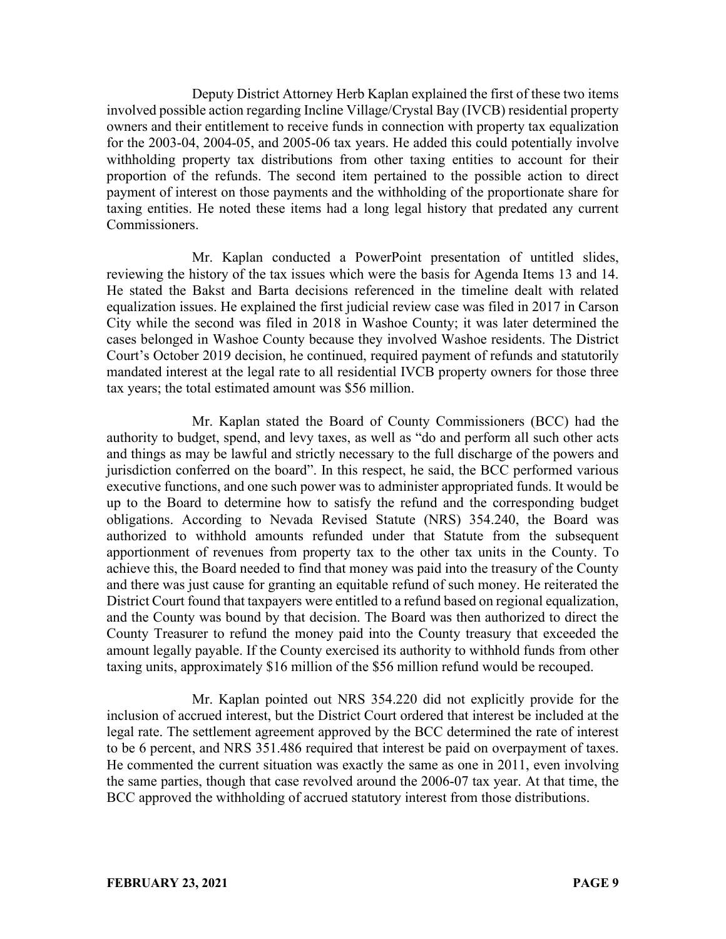Deputy District Attorney Herb Kaplan explained the first of these two items involved possible action regarding Incline Village/Crystal Bay (IVCB) residential property owners and their entitlement to receive funds in connection with property tax equalization for the 2003-04, 2004-05, and 2005-06 tax years. He added this could potentially involve withholding property tax distributions from other taxing entities to account for their proportion of the refunds. The second item pertained to the possible action to direct payment of interest on those payments and the withholding of the proportionate share for taxing entities. He noted these items had a long legal history that predated any current Commissioners.

Mr. Kaplan conducted a PowerPoint presentation of untitled slides, reviewing the history of the tax issues which were the basis for Agenda Items 13 and 14. He stated the Bakst and Barta decisions referenced in the timeline dealt with related equalization issues. He explained the first judicial review case was filed in 2017 in Carson City while the second was filed in 2018 in Washoe County; it was later determined the cases belonged in Washoe County because they involved Washoe residents. The District Court's October 2019 decision, he continued, required payment of refunds and statutorily mandated interest at the legal rate to all residential IVCB property owners for those three tax years; the total estimated amount was \$56 million.

Mr. Kaplan stated the Board of County Commissioners (BCC) had the authority to budget, spend, and levy taxes, as well as "do and perform all such other acts and things as may be lawful and strictly necessary to the full discharge of the powers and jurisdiction conferred on the board". In this respect, he said, the BCC performed various executive functions, and one such power was to administer appropriated funds. It would be up to the Board to determine how to satisfy the refund and the corresponding budget obligations. According to Nevada Revised Statute (NRS) 354.240, the Board was authorized to withhold amounts refunded under that Statute from the subsequent apportionment of revenues from property tax to the other tax units in the County. To achieve this, the Board needed to find that money was paid into the treasury of the County and there was just cause for granting an equitable refund of such money. He reiterated the District Court found that taxpayers were entitled to a refund based on regional equalization, and the County was bound by that decision. The Board was then authorized to direct the County Treasurer to refund the money paid into the County treasury that exceeded the amount legally payable. If the County exercised its authority to withhold funds from other taxing units, approximately \$16 million of the \$56 million refund would be recouped.

Mr. Kaplan pointed out NRS 354.220 did not explicitly provide for the inclusion of accrued interest, but the District Court ordered that interest be included at the legal rate. The settlement agreement approved by the BCC determined the rate of interest to be 6 percent, and NRS 351.486 required that interest be paid on overpayment of taxes. He commented the current situation was exactly the same as one in 2011, even involving the same parties, though that case revolved around the 2006-07 tax year. At that time, the BCC approved the withholding of accrued statutory interest from those distributions.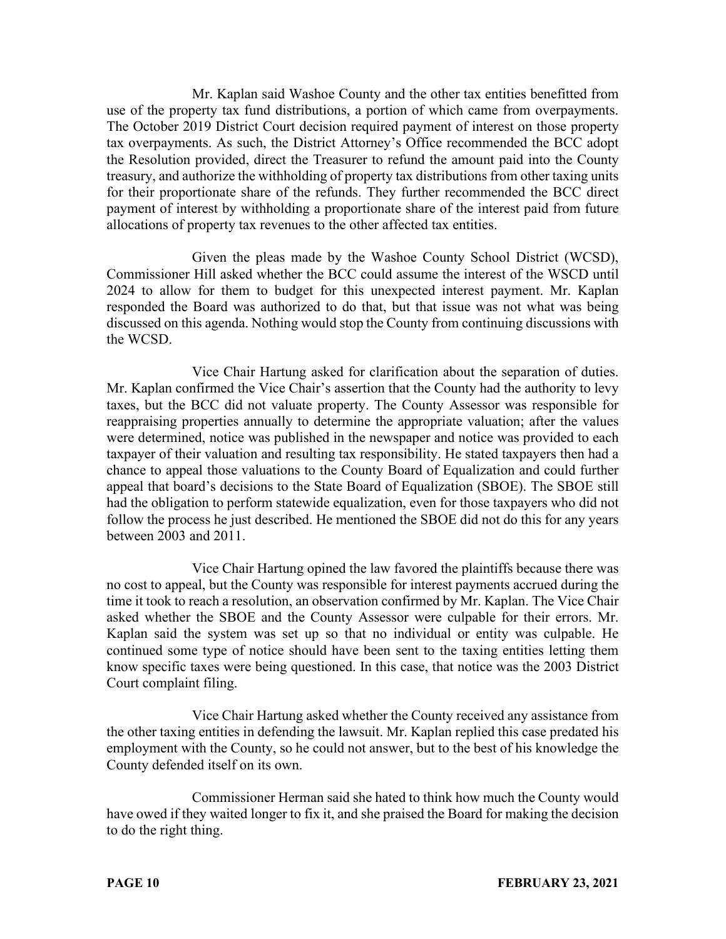Mr. Kaplan said Washoe County and the other tax entities benefitted from use of the property tax fund distributions, a portion of which came from overpayments. The October 2019 District Court decision required payment of interest on those property tax overpayments. As such, the District Attorney's Office recommended the BCC adopt the Resolution provided, direct the Treasurer to refund the amount paid into the County treasury, and authorize the withholding of property tax distributions from other taxing units for their proportionate share of the refunds. They further recommended the BCC direct payment of interest by withholding a proportionate share of the interest paid from future allocations of property tax revenues to the other affected tax entities.

Given the pleas made by the Washoe County School District (WCSD), Commissioner Hill asked whether the BCC could assume the interest of the WSCD until 2024 to allow for them to budget for this unexpected interest payment. Mr. Kaplan responded the Board was authorized to do that, but that issue was not what was being discussed on this agenda. Nothing would stop the County from continuing discussions with the WCSD.

Vice Chair Hartung asked for clarification about the separation of duties. Mr. Kaplan confirmed the Vice Chair's assertion that the County had the authority to levy taxes, but the BCC did not valuate property. The County Assessor was responsible for reappraising properties annually to determine the appropriate valuation; after the values were determined, notice was published in the newspaper and notice was provided to each taxpayer of their valuation and resulting tax responsibility. He stated taxpayers then had a chance to appeal those valuations to the County Board of Equalization and could further appeal that board's decisions to the State Board of Equalization (SBOE). The SBOE still had the obligation to perform statewide equalization, even for those taxpayers who did not follow the process he just described. He mentioned the SBOE did not do this for any years between 2003 and 2011.

Vice Chair Hartung opined the law favored the plaintiffs because there was no cost to appeal, but the County was responsible for interest payments accrued during the time it took to reach a resolution, an observation confirmed by Mr. Kaplan. The Vice Chair asked whether the SBOE and the County Assessor were culpable for their errors. Mr. Kaplan said the system was set up so that no individual or entity was culpable. He continued some type of notice should have been sent to the taxing entities letting them know specific taxes were being questioned. In this case, that notice was the 2003 District Court complaint filing.

Vice Chair Hartung asked whether the County received any assistance from the other taxing entities in defending the lawsuit. Mr. Kaplan replied this case predated his employment with the County, so he could not answer, but to the best of his knowledge the County defended itself on its own.

Commissioner Herman said she hated to think how much the County would have owed if they waited longer to fix it, and she praised the Board for making the decision to do the right thing.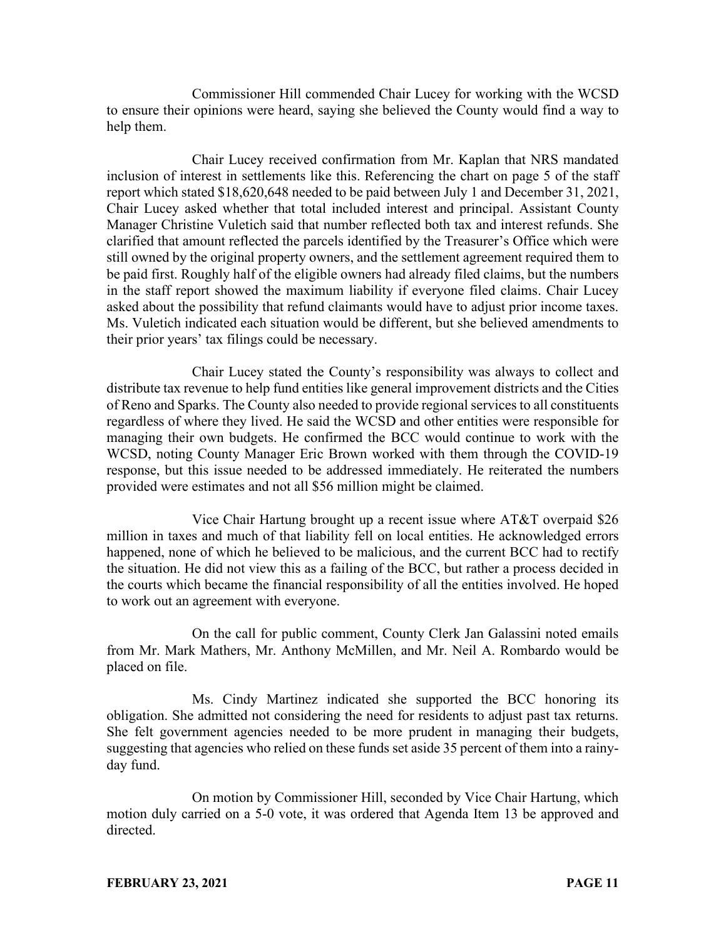Commissioner Hill commended Chair Lucey for working with the WCSD to ensure their opinions were heard, saying she believed the County would find a way to help them.

Chair Lucey received confirmation from Mr. Kaplan that NRS mandated inclusion of interest in settlements like this. Referencing the chart on page 5 of the staff report which stated \$18,620,648 needed to be paid between July 1 and December 31, 2021, Chair Lucey asked whether that total included interest and principal. Assistant County Manager Christine Vuletich said that number reflected both tax and interest refunds. She clarified that amount reflected the parcels identified by the Treasurer's Office which were still owned by the original property owners, and the settlement agreement required them to be paid first. Roughly half of the eligible owners had already filed claims, but the numbers in the staff report showed the maximum liability if everyone filed claims. Chair Lucey asked about the possibility that refund claimants would have to adjust prior income taxes. Ms. Vuletich indicated each situation would be different, but she believed amendments to their prior years' tax filings could be necessary.

Chair Lucey stated the County's responsibility was always to collect and distribute tax revenue to help fund entities like general improvement districts and the Cities of Reno and Sparks. The County also needed to provide regional services to all constituents regardless of where they lived. He said the WCSD and other entities were responsible for managing their own budgets. He confirmed the BCC would continue to work with the WCSD, noting County Manager Eric Brown worked with them through the COVID-19 response, but this issue needed to be addressed immediately. He reiterated the numbers provided were estimates and not all \$56 million might be claimed.

Vice Chair Hartung brought up a recent issue where AT&T overpaid \$26 million in taxes and much of that liability fell on local entities. He acknowledged errors happened, none of which he believed to be malicious, and the current BCC had to rectify the situation. He did not view this as a failing of the BCC, but rather a process decided in the courts which became the financial responsibility of all the entities involved. He hoped to work out an agreement with everyone.

On the call for public comment, County Clerk Jan Galassini noted emails from Mr. Mark Mathers, Mr. Anthony McMillen, and Mr. Neil A. Rombardo would be placed on file.

Ms. Cindy Martinez indicated she supported the BCC honoring its obligation. She admitted not considering the need for residents to adjust past tax returns. She felt government agencies needed to be more prudent in managing their budgets, suggesting that agencies who relied on these funds set aside 35 percent of them into a rainyday fund.

On motion by Commissioner Hill, seconded by Vice Chair Hartung, which motion duly carried on a 5-0 vote, it was ordered that Agenda Item 13 be approved and directed.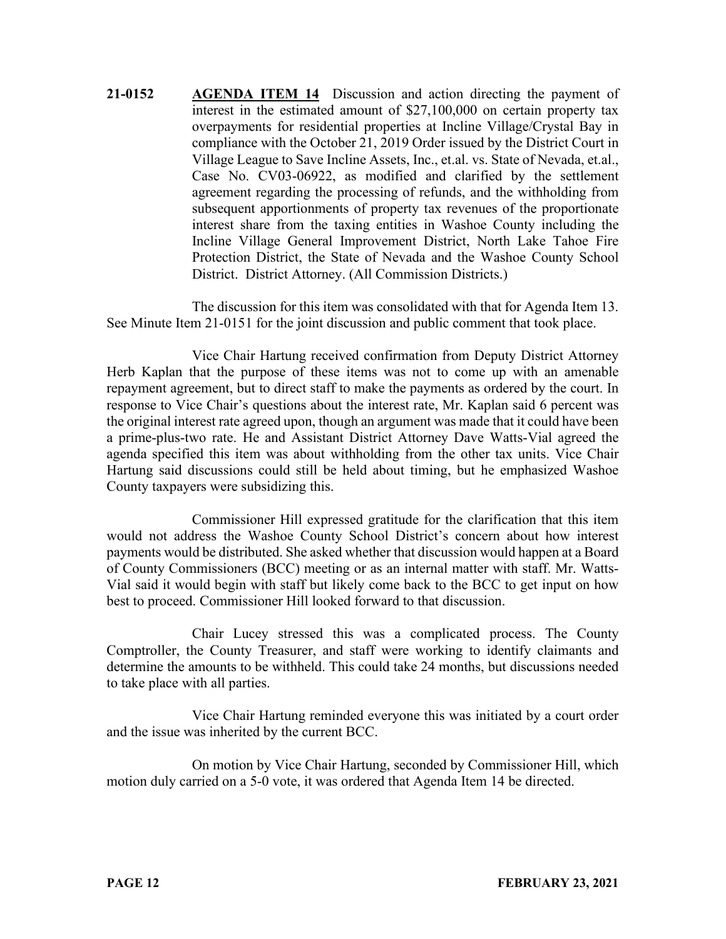**21-0152 AGENDA ITEM 14** Discussion and action directing the payment of interest in the estimated amount of \$27,100,000 on certain property tax overpayments for residential properties at Incline Village/Crystal Bay in compliance with the October 21, 2019 Order issued by the District Court in Village League to Save Incline Assets, Inc., et.al. vs. State of Nevada, et.al., Case No. CV03-06922, as modified and clarified by the settlement agreement regarding the processing of refunds, and the withholding from subsequent apportionments of property tax revenues of the proportionate interest share from the taxing entities in Washoe County including the Incline Village General Improvement District, North Lake Tahoe Fire Protection District, the State of Nevada and the Washoe County School District. District Attorney. (All Commission Districts.)

The discussion for this item was consolidated with that for Agenda Item 13. See Minute Item 21-0151 for the joint discussion and public comment that took place.

Vice Chair Hartung received confirmation from Deputy District Attorney Herb Kaplan that the purpose of these items was not to come up with an amenable repayment agreement, but to direct staff to make the payments as ordered by the court. In response to Vice Chair's questions about the interest rate, Mr. Kaplan said 6 percent was the original interest rate agreed upon, though an argument was made that it could have been a prime-plus-two rate. He and Assistant District Attorney Dave Watts-Vial agreed the agenda specified this item was about withholding from the other tax units. Vice Chair Hartung said discussions could still be held about timing, but he emphasized Washoe County taxpayers were subsidizing this.

Commissioner Hill expressed gratitude for the clarification that this item would not address the Washoe County School District's concern about how interest payments would be distributed. She asked whether that discussion would happen at a Board of County Commissioners (BCC) meeting or as an internal matter with staff. Mr. Watts-Vial said it would begin with staff but likely come back to the BCC to get input on how best to proceed. Commissioner Hill looked forward to that discussion.

Chair Lucey stressed this was a complicated process. The County Comptroller, the County Treasurer, and staff were working to identify claimants and determine the amounts to be withheld. This could take 24 months, but discussions needed to take place with all parties.

Vice Chair Hartung reminded everyone this was initiated by a court order and the issue was inherited by the current BCC.

On motion by Vice Chair Hartung, seconded by Commissioner Hill, which motion duly carried on a 5-0 vote, it was ordered that Agenda Item 14 be directed.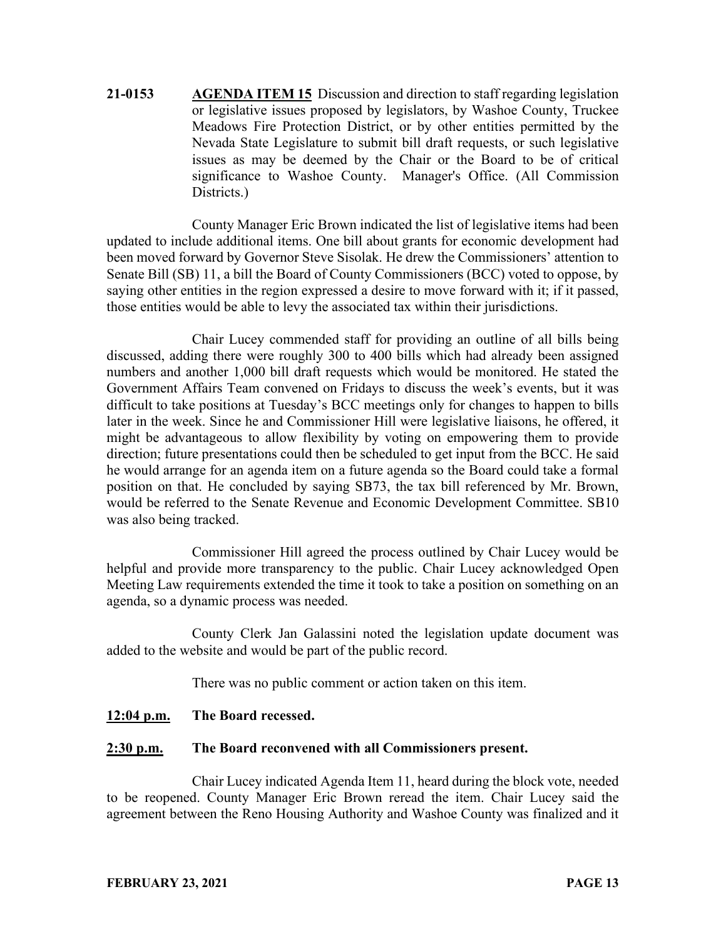**21-0153 AGENDA ITEM 15** Discussion and direction to staff regarding legislation or legislative issues proposed by legislators, by Washoe County, Truckee Meadows Fire Protection District, or by other entities permitted by the Nevada State Legislature to submit bill draft requests, or such legislative issues as may be deemed by the Chair or the Board to be of critical significance to Washoe County. Manager's Office. (All Commission Districts.)

County Manager Eric Brown indicated the list of legislative items had been updated to include additional items. One bill about grants for economic development had been moved forward by Governor Steve Sisolak. He drew the Commissioners' attention to Senate Bill (SB) 11, a bill the Board of County Commissioners (BCC) voted to oppose, by saying other entities in the region expressed a desire to move forward with it; if it passed, those entities would be able to levy the associated tax within their jurisdictions.

Chair Lucey commended staff for providing an outline of all bills being discussed, adding there were roughly 300 to 400 bills which had already been assigned numbers and another 1,000 bill draft requests which would be monitored. He stated the Government Affairs Team convened on Fridays to discuss the week's events, but it was difficult to take positions at Tuesday's BCC meetings only for changes to happen to bills later in the week. Since he and Commissioner Hill were legislative liaisons, he offered, it might be advantageous to allow flexibility by voting on empowering them to provide direction; future presentations could then be scheduled to get input from the BCC. He said he would arrange for an agenda item on a future agenda so the Board could take a formal position on that. He concluded by saying SB73, the tax bill referenced by Mr. Brown, would be referred to the Senate Revenue and Economic Development Committee. SB10 was also being tracked.

Commissioner Hill agreed the process outlined by Chair Lucey would be helpful and provide more transparency to the public. Chair Lucey acknowledged Open Meeting Law requirements extended the time it took to take a position on something on an agenda, so a dynamic process was needed.

County Clerk Jan Galassini noted the legislation update document was added to the website and would be part of the public record.

There was no public comment or action taken on this item.

## **12:04 p.m. The Board recessed.**

## **2:30 p.m. The Board reconvened with all Commissioners present.**

Chair Lucey indicated Agenda Item 11, heard during the block vote, needed to be reopened. County Manager Eric Brown reread the item. Chair Lucey said the agreement between the Reno Housing Authority and Washoe County was finalized and it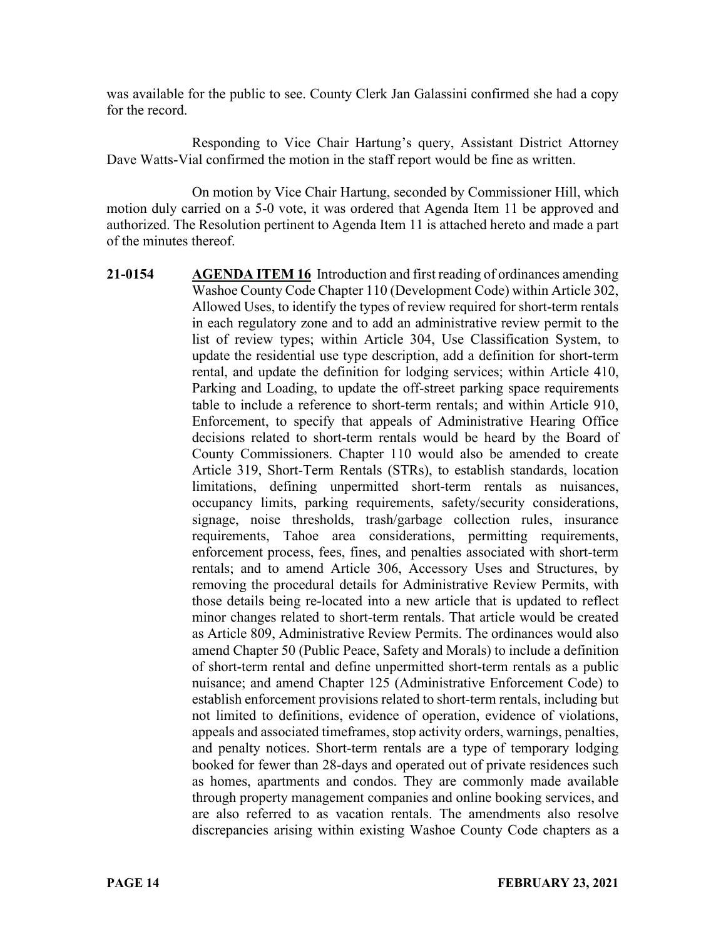was available for the public to see. County Clerk Jan Galassini confirmed she had a copy for the record.

Responding to Vice Chair Hartung's query, Assistant District Attorney Dave Watts-Vial confirmed the motion in the staff report would be fine as written.

On motion by Vice Chair Hartung, seconded by Commissioner Hill, which motion duly carried on a 5-0 vote, it was ordered that Agenda Item 11 be approved and authorized. The Resolution pertinent to Agenda Item 11 is attached hereto and made a part of the minutes thereof.

**21-0154 AGENDA ITEM 16** Introduction and first reading of ordinances amending Washoe County Code Chapter 110 (Development Code) within Article 302, Allowed Uses, to identify the types of review required for short-term rentals in each regulatory zone and to add an administrative review permit to the list of review types; within Article 304, Use Classification System, to update the residential use type description, add a definition for short-term rental, and update the definition for lodging services; within Article 410, Parking and Loading, to update the off-street parking space requirements table to include a reference to short-term rentals; and within Article 910, Enforcement, to specify that appeals of Administrative Hearing Office decisions related to short-term rentals would be heard by the Board of County Commissioners. Chapter 110 would also be amended to create Article 319, Short-Term Rentals (STRs), to establish standards, location limitations, defining unpermitted short-term rentals as nuisances, occupancy limits, parking requirements, safety/security considerations, signage, noise thresholds, trash/garbage collection rules, insurance requirements, Tahoe area considerations, permitting requirements, enforcement process, fees, fines, and penalties associated with short-term rentals; and to amend Article 306, Accessory Uses and Structures, by removing the procedural details for Administrative Review Permits, with those details being re-located into a new article that is updated to reflect minor changes related to short-term rentals. That article would be created as Article 809, Administrative Review Permits. The ordinances would also amend Chapter 50 (Public Peace, Safety and Morals) to include a definition of short-term rental and define unpermitted short-term rentals as a public nuisance; and amend Chapter 125 (Administrative Enforcement Code) to establish enforcement provisions related to short-term rentals, including but not limited to definitions, evidence of operation, evidence of violations, appeals and associated timeframes, stop activity orders, warnings, penalties, and penalty notices. Short-term rentals are a type of temporary lodging booked for fewer than 28-days and operated out of private residences such as homes, apartments and condos. They are commonly made available through property management companies and online booking services, and are also referred to as vacation rentals. The amendments also resolve discrepancies arising within existing Washoe County Code chapters as a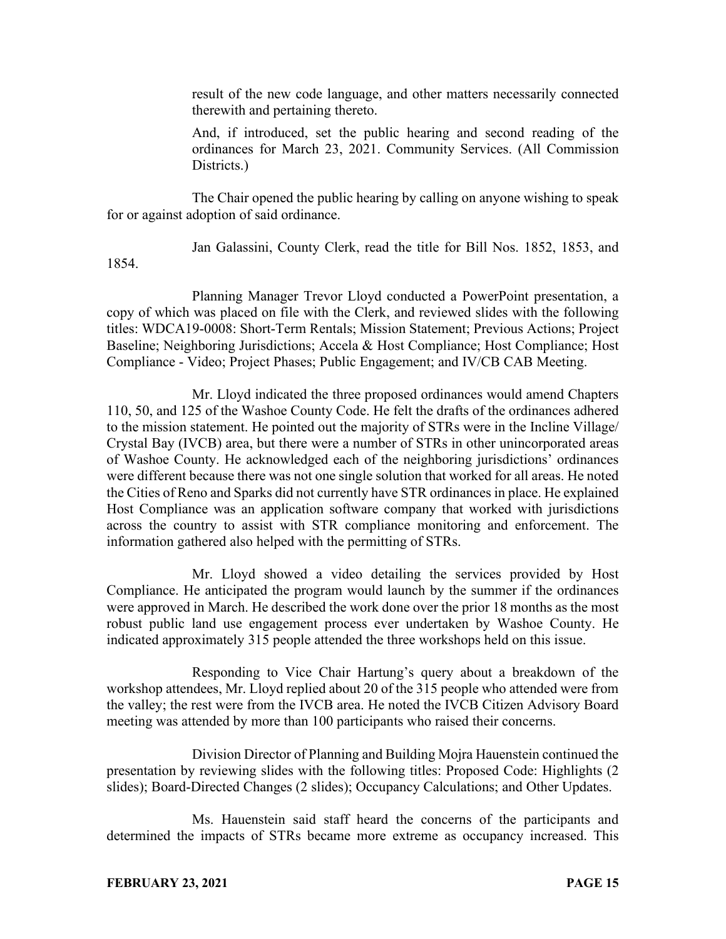result of the new code language, and other matters necessarily connected therewith and pertaining thereto.

And, if introduced, set the public hearing and second reading of the ordinances for March 23, 2021. Community Services. (All Commission Districts.

The Chair opened the public hearing by calling on anyone wishing to speak for or against adoption of said ordinance.

Jan Galassini, County Clerk, read the title for Bill Nos. 1852, 1853, and

Planning Manager Trevor Lloyd conducted a PowerPoint presentation, a copy of which was placed on file with the Clerk, and reviewed slides with the following titles: WDCA19-0008: Short-Term Rentals; Mission Statement; Previous Actions; Project Baseline; Neighboring Jurisdictions; Accela & Host Compliance; Host Compliance; Host Compliance - Video; Project Phases; Public Engagement; and IV/CB CAB Meeting.

Mr. Lloyd indicated the three proposed ordinances would amend Chapters 110, 50, and 125 of the Washoe County Code. He felt the drafts of the ordinances adhered to the mission statement. He pointed out the majority of STRs were in the Incline Village/ Crystal Bay (IVCB) area, but there were a number of STRs in other unincorporated areas of Washoe County. He acknowledged each of the neighboring jurisdictions' ordinances were different because there was not one single solution that worked for all areas. He noted the Cities of Reno and Sparks did not currently have STR ordinances in place. He explained Host Compliance was an application software company that worked with jurisdictions across the country to assist with STR compliance monitoring and enforcement. The information gathered also helped with the permitting of STRs.

Mr. Lloyd showed a video detailing the services provided by Host Compliance. He anticipated the program would launch by the summer if the ordinances were approved in March. He described the work done over the prior 18 months as the most robust public land use engagement process ever undertaken by Washoe County. He indicated approximately 315 people attended the three workshops held on this issue.

Responding to Vice Chair Hartung's query about a breakdown of the workshop attendees, Mr. Lloyd replied about 20 of the 315 people who attended were from the valley; the rest were from the IVCB area. He noted the IVCB Citizen Advisory Board meeting was attended by more than 100 participants who raised their concerns.

Division Director of Planning and Building Mojra Hauenstein continued the presentation by reviewing slides with the following titles: Proposed Code: Highlights (2 slides); Board-Directed Changes (2 slides); Occupancy Calculations; and Other Updates.

Ms. Hauenstein said staff heard the concerns of the participants and determined the impacts of STRs became more extreme as occupancy increased. This

1854.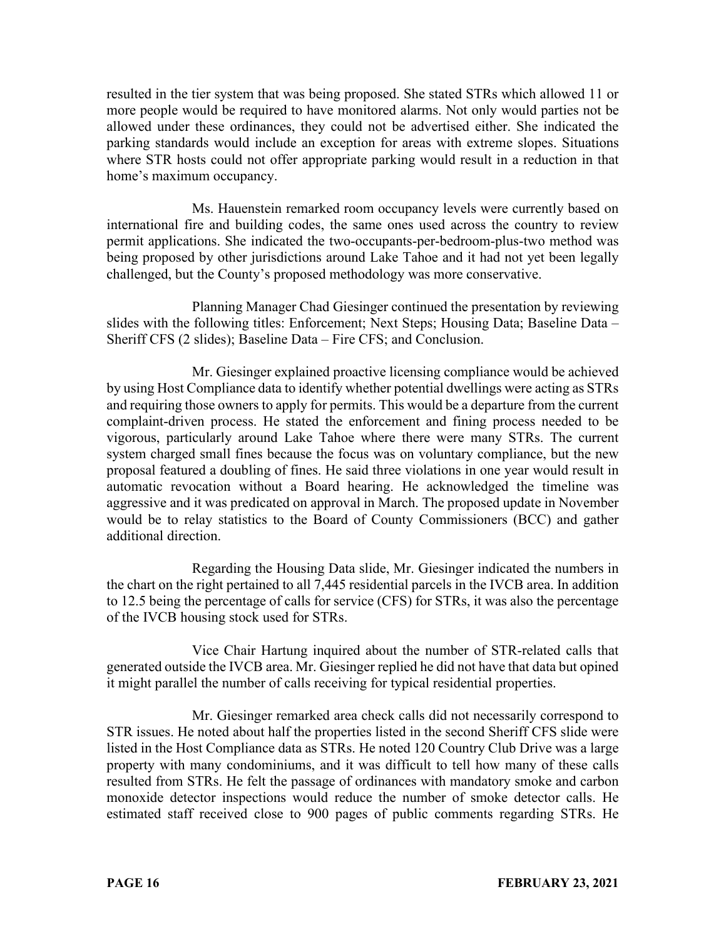resulted in the tier system that was being proposed. She stated STRs which allowed 11 or more people would be required to have monitored alarms. Not only would parties not be allowed under these ordinances, they could not be advertised either. She indicated the parking standards would include an exception for areas with extreme slopes. Situations where STR hosts could not offer appropriate parking would result in a reduction in that home's maximum occupancy.

Ms. Hauenstein remarked room occupancy levels were currently based on international fire and building codes, the same ones used across the country to review permit applications. She indicated the two-occupants-per-bedroom-plus-two method was being proposed by other jurisdictions around Lake Tahoe and it had not yet been legally challenged, but the County's proposed methodology was more conservative.

Planning Manager Chad Giesinger continued the presentation by reviewing slides with the following titles: Enforcement; Next Steps; Housing Data; Baseline Data – Sheriff CFS (2 slides); Baseline Data – Fire CFS; and Conclusion.

Mr. Giesinger explained proactive licensing compliance would be achieved by using Host Compliance data to identify whether potential dwellings were acting as STRs and requiring those owners to apply for permits. This would be a departure from the current complaint-driven process. He stated the enforcement and fining process needed to be vigorous, particularly around Lake Tahoe where there were many STRs. The current system charged small fines because the focus was on voluntary compliance, but the new proposal featured a doubling of fines. He said three violations in one year would result in automatic revocation without a Board hearing. He acknowledged the timeline was aggressive and it was predicated on approval in March. The proposed update in November would be to relay statistics to the Board of County Commissioners (BCC) and gather additional direction.

Regarding the Housing Data slide, Mr. Giesinger indicated the numbers in the chart on the right pertained to all 7,445 residential parcels in the IVCB area. In addition to 12.5 being the percentage of calls for service (CFS) for STRs, it was also the percentage of the IVCB housing stock used for STRs.

Vice Chair Hartung inquired about the number of STR-related calls that generated outside the IVCB area. Mr. Giesinger replied he did not have that data but opined it might parallel the number of calls receiving for typical residential properties.

Mr. Giesinger remarked area check calls did not necessarily correspond to STR issues. He noted about half the properties listed in the second Sheriff CFS slide were listed in the Host Compliance data as STRs. He noted 120 Country Club Drive was a large property with many condominiums, and it was difficult to tell how many of these calls resulted from STRs. He felt the passage of ordinances with mandatory smoke and carbon monoxide detector inspections would reduce the number of smoke detector calls. He estimated staff received close to 900 pages of public comments regarding STRs. He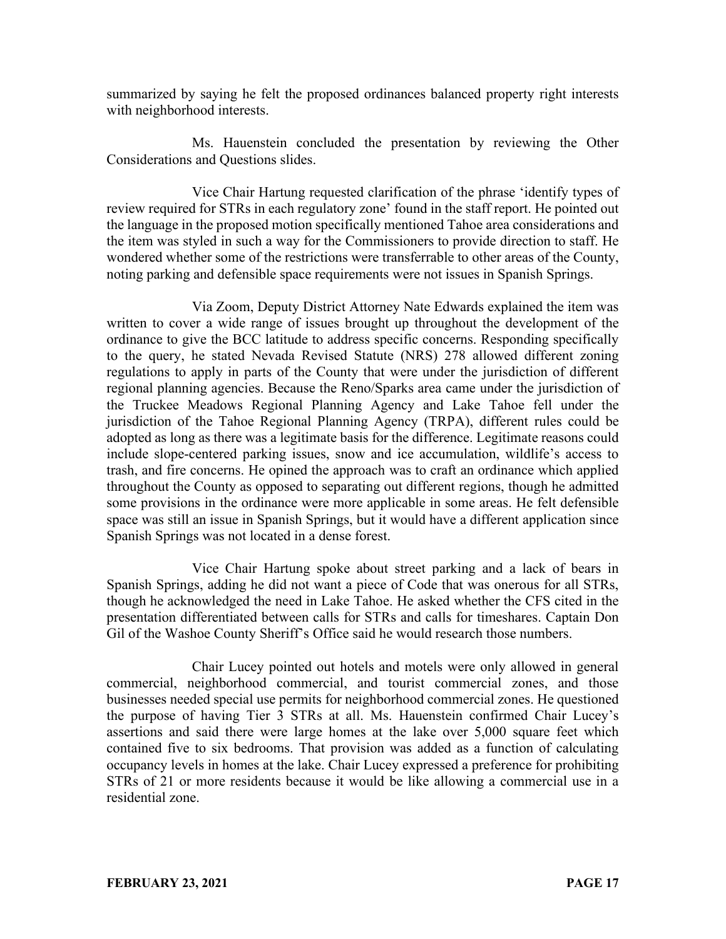summarized by saying he felt the proposed ordinances balanced property right interests with neighborhood interests.

Ms. Hauenstein concluded the presentation by reviewing the Other Considerations and Questions slides.

Vice Chair Hartung requested clarification of the phrase 'identify types of review required for STRs in each regulatory zone' found in the staff report. He pointed out the language in the proposed motion specifically mentioned Tahoe area considerations and the item was styled in such a way for the Commissioners to provide direction to staff. He wondered whether some of the restrictions were transferrable to other areas of the County, noting parking and defensible space requirements were not issues in Spanish Springs.

Via Zoom, Deputy District Attorney Nate Edwards explained the item was written to cover a wide range of issues brought up throughout the development of the ordinance to give the BCC latitude to address specific concerns. Responding specifically to the query, he stated Nevada Revised Statute (NRS) 278 allowed different zoning regulations to apply in parts of the County that were under the jurisdiction of different regional planning agencies. Because the Reno/Sparks area came under the jurisdiction of the Truckee Meadows Regional Planning Agency and Lake Tahoe fell under the jurisdiction of the Tahoe Regional Planning Agency (TRPA), different rules could be adopted as long as there was a legitimate basis for the difference. Legitimate reasons could include slope-centered parking issues, snow and ice accumulation, wildlife's access to trash, and fire concerns. He opined the approach was to craft an ordinance which applied throughout the County as opposed to separating out different regions, though he admitted some provisions in the ordinance were more applicable in some areas. He felt defensible space was still an issue in Spanish Springs, but it would have a different application since Spanish Springs was not located in a dense forest.

Vice Chair Hartung spoke about street parking and a lack of bears in Spanish Springs, adding he did not want a piece of Code that was onerous for all STRs, though he acknowledged the need in Lake Tahoe. He asked whether the CFS cited in the presentation differentiated between calls for STRs and calls for timeshares. Captain Don Gil of the Washoe County Sheriff's Office said he would research those numbers.

Chair Lucey pointed out hotels and motels were only allowed in general commercial, neighborhood commercial, and tourist commercial zones, and those businesses needed special use permits for neighborhood commercial zones. He questioned the purpose of having Tier 3 STRs at all. Ms. Hauenstein confirmed Chair Lucey's assertions and said there were large homes at the lake over 5,000 square feet which contained five to six bedrooms. That provision was added as a function of calculating occupancy levels in homes at the lake. Chair Lucey expressed a preference for prohibiting STRs of 21 or more residents because it would be like allowing a commercial use in a residential zone.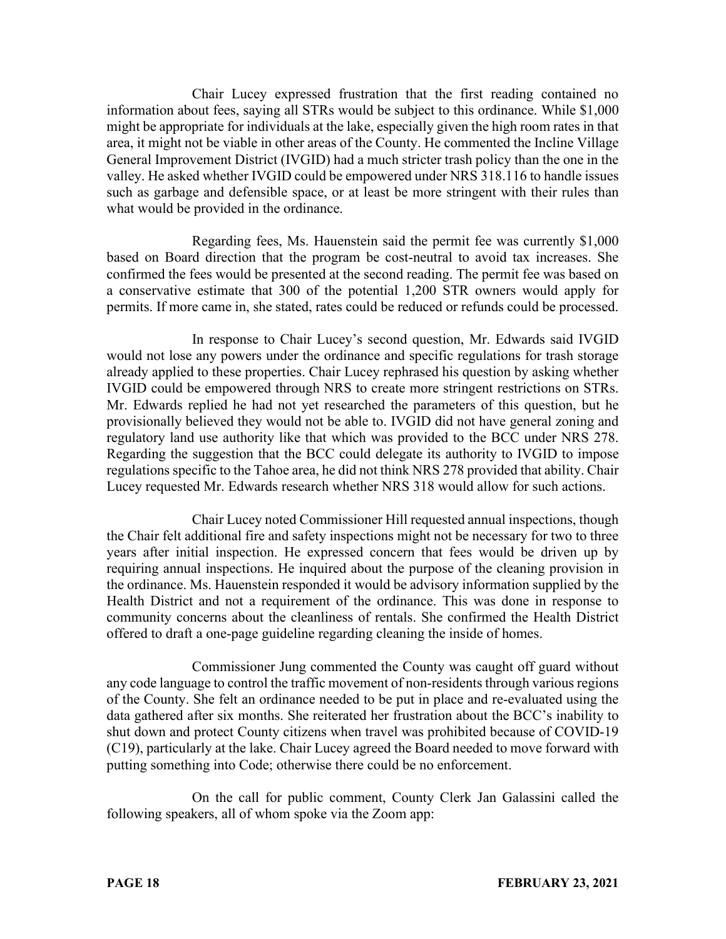Chair Lucey expressed frustration that the first reading contained no information about fees, saying all STRs would be subject to this ordinance. While \$1,000 might be appropriate for individuals at the lake, especially given the high room rates in that area, it might not be viable in other areas of the County. He commented the Incline Village General Improvement District (IVGID) had a much stricter trash policy than the one in the valley. He asked whether IVGID could be empowered under NRS 318.116 to handle issues such as garbage and defensible space, or at least be more stringent with their rules than what would be provided in the ordinance.

Regarding fees, Ms. Hauenstein said the permit fee was currently \$1,000 based on Board direction that the program be cost-neutral to avoid tax increases. She confirmed the fees would be presented at the second reading. The permit fee was based on a conservative estimate that 300 of the potential 1,200 STR owners would apply for permits. If more came in, she stated, rates could be reduced or refunds could be processed.

In response to Chair Lucey's second question, Mr. Edwards said IVGID would not lose any powers under the ordinance and specific regulations for trash storage already applied to these properties. Chair Lucey rephrased his question by asking whether IVGID could be empowered through NRS to create more stringent restrictions on STRs. Mr. Edwards replied he had not yet researched the parameters of this question, but he provisionally believed they would not be able to. IVGID did not have general zoning and regulatory land use authority like that which was provided to the BCC under NRS 278. Regarding the suggestion that the BCC could delegate its authority to IVGID to impose regulations specific to the Tahoe area, he did not think NRS 278 provided that ability. Chair Lucey requested Mr. Edwards research whether NRS 318 would allow for such actions.

Chair Lucey noted Commissioner Hill requested annual inspections, though the Chair felt additional fire and safety inspections might not be necessary for two to three years after initial inspection. He expressed concern that fees would be driven up by requiring annual inspections. He inquired about the purpose of the cleaning provision in the ordinance. Ms. Hauenstein responded it would be advisory information supplied by the Health District and not a requirement of the ordinance. This was done in response to community concerns about the cleanliness of rentals. She confirmed the Health District offered to draft a one-page guideline regarding cleaning the inside of homes.

Commissioner Jung commented the County was caught off guard without any code language to control the traffic movement of non-residents through various regions of the County. She felt an ordinance needed to be put in place and re-evaluated using the data gathered after six months. She reiterated her frustration about the BCC's inability to shut down and protect County citizens when travel was prohibited because of COVID-19 (C19), particularly at the lake. Chair Lucey agreed the Board needed to move forward with putting something into Code; otherwise there could be no enforcement.

On the call for public comment, County Clerk Jan Galassini called the following speakers, all of whom spoke via the Zoom app: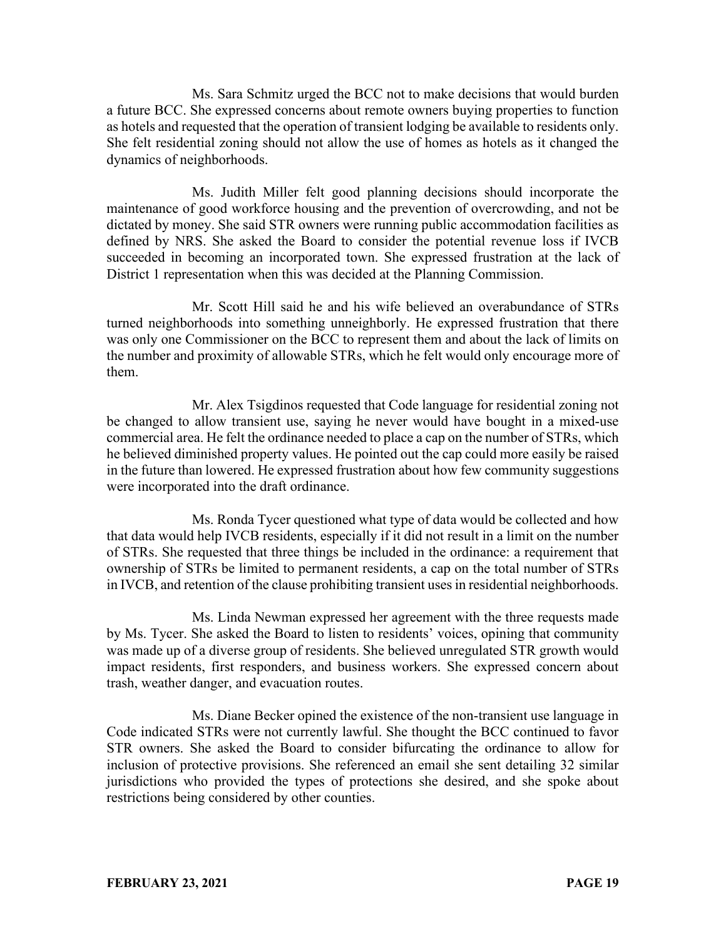Ms. Sara Schmitz urged the BCC not to make decisions that would burden a future BCC. She expressed concerns about remote owners buying properties to function as hotels and requested that the operation of transient lodging be available to residents only. She felt residential zoning should not allow the use of homes as hotels as it changed the dynamics of neighborhoods.

Ms. Judith Miller felt good planning decisions should incorporate the maintenance of good workforce housing and the prevention of overcrowding, and not be dictated by money. She said STR owners were running public accommodation facilities as defined by NRS. She asked the Board to consider the potential revenue loss if IVCB succeeded in becoming an incorporated town. She expressed frustration at the lack of District 1 representation when this was decided at the Planning Commission.

Mr. Scott Hill said he and his wife believed an overabundance of STRs turned neighborhoods into something unneighborly. He expressed frustration that there was only one Commissioner on the BCC to represent them and about the lack of limits on the number and proximity of allowable STRs, which he felt would only encourage more of them.

Mr. Alex Tsigdinos requested that Code language for residential zoning not be changed to allow transient use, saying he never would have bought in a mixed-use commercial area. He felt the ordinance needed to place a cap on the number of STRs, which he believed diminished property values. He pointed out the cap could more easily be raised in the future than lowered. He expressed frustration about how few community suggestions were incorporated into the draft ordinance.

Ms. Ronda Tycer questioned what type of data would be collected and how that data would help IVCB residents, especially if it did not result in a limit on the number of STRs. She requested that three things be included in the ordinance: a requirement that ownership of STRs be limited to permanent residents, a cap on the total number of STRs in IVCB, and retention of the clause prohibiting transient uses in residential neighborhoods.

Ms. Linda Newman expressed her agreement with the three requests made by Ms. Tycer. She asked the Board to listen to residents' voices, opining that community was made up of a diverse group of residents. She believed unregulated STR growth would impact residents, first responders, and business workers. She expressed concern about trash, weather danger, and evacuation routes.

Ms. Diane Becker opined the existence of the non-transient use language in Code indicated STRs were not currently lawful. She thought the BCC continued to favor STR owners. She asked the Board to consider bifurcating the ordinance to allow for inclusion of protective provisions. She referenced an email she sent detailing 32 similar jurisdictions who provided the types of protections she desired, and she spoke about restrictions being considered by other counties.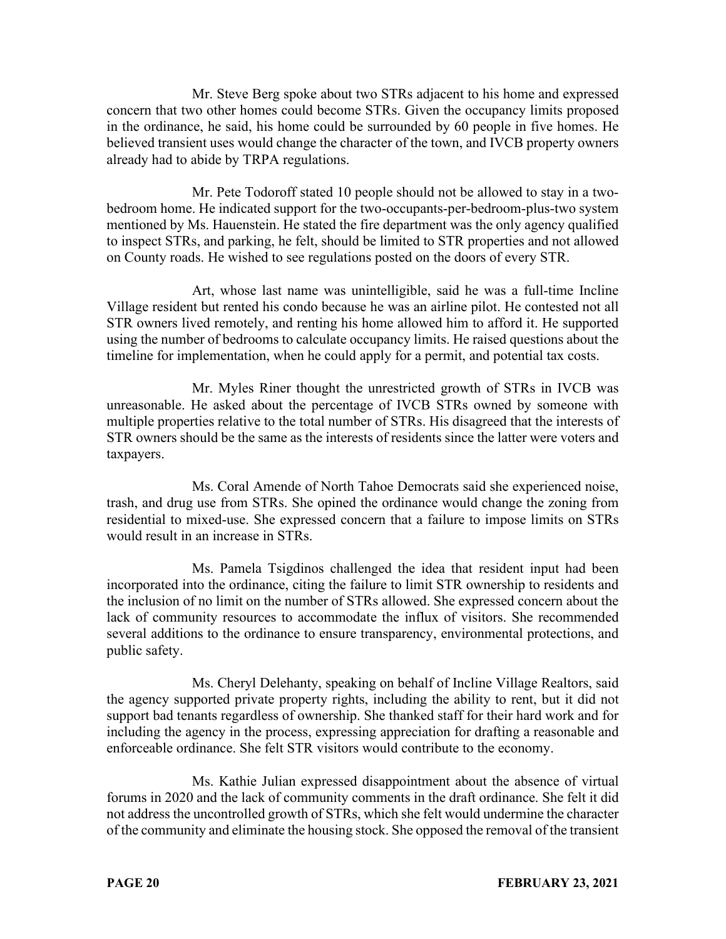Mr. Steve Berg spoke about two STRs adjacent to his home and expressed concern that two other homes could become STRs. Given the occupancy limits proposed in the ordinance, he said, his home could be surrounded by 60 people in five homes. He believed transient uses would change the character of the town, and IVCB property owners already had to abide by TRPA regulations.

Mr. Pete Todoroff stated 10 people should not be allowed to stay in a twobedroom home. He indicated support for the two-occupants-per-bedroom-plus-two system mentioned by Ms. Hauenstein. He stated the fire department was the only agency qualified to inspect STRs, and parking, he felt, should be limited to STR properties and not allowed on County roads. He wished to see regulations posted on the doors of every STR.

Art, whose last name was unintelligible, said he was a full-time Incline Village resident but rented his condo because he was an airline pilot. He contested not all STR owners lived remotely, and renting his home allowed him to afford it. He supported using the number of bedrooms to calculate occupancy limits. He raised questions about the timeline for implementation, when he could apply for a permit, and potential tax costs.

Mr. Myles Riner thought the unrestricted growth of STRs in IVCB was unreasonable. He asked about the percentage of IVCB STRs owned by someone with multiple properties relative to the total number of STRs. His disagreed that the interests of STR owners should be the same as the interests of residents since the latter were voters and taxpayers.

Ms. Coral Amende of North Tahoe Democrats said she experienced noise, trash, and drug use from STRs. She opined the ordinance would change the zoning from residential to mixed-use. She expressed concern that a failure to impose limits on STRs would result in an increase in STRs.

Ms. Pamela Tsigdinos challenged the idea that resident input had been incorporated into the ordinance, citing the failure to limit STR ownership to residents and the inclusion of no limit on the number of STRs allowed. She expressed concern about the lack of community resources to accommodate the influx of visitors. She recommended several additions to the ordinance to ensure transparency, environmental protections, and public safety.

Ms. Cheryl Delehanty, speaking on behalf of Incline Village Realtors, said the agency supported private property rights, including the ability to rent, but it did not support bad tenants regardless of ownership. She thanked staff for their hard work and for including the agency in the process, expressing appreciation for drafting a reasonable and enforceable ordinance. She felt STR visitors would contribute to the economy.

Ms. Kathie Julian expressed disappointment about the absence of virtual forums in 2020 and the lack of community comments in the draft ordinance. She felt it did not address the uncontrolled growth of STRs, which she felt would undermine the character of the community and eliminate the housing stock. She opposed the removal of the transient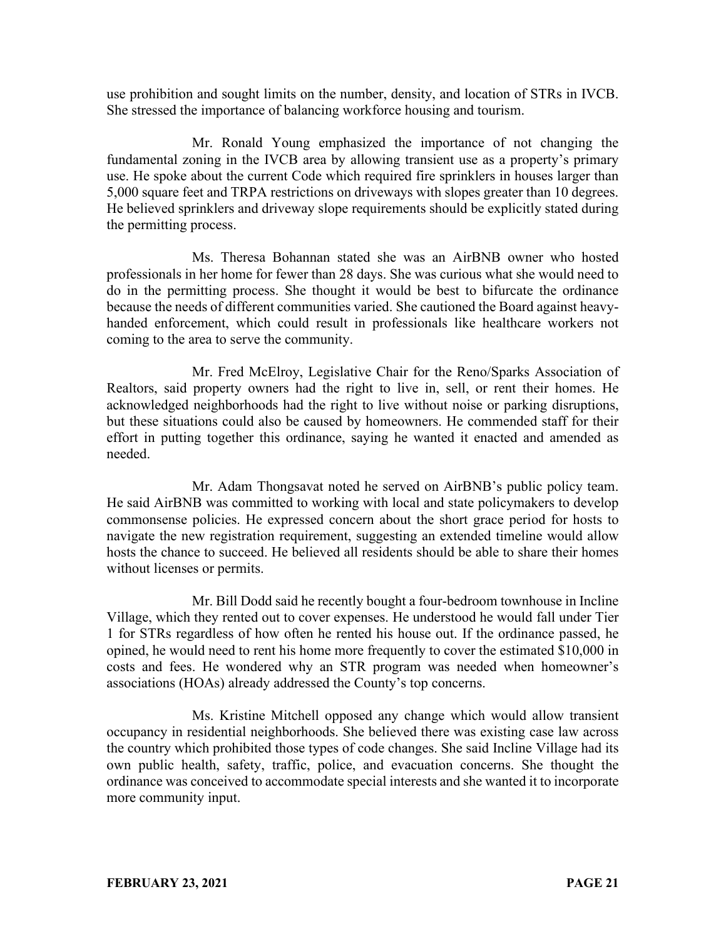use prohibition and sought limits on the number, density, and location of STRs in IVCB. She stressed the importance of balancing workforce housing and tourism.

Mr. Ronald Young emphasized the importance of not changing the fundamental zoning in the IVCB area by allowing transient use as a property's primary use. He spoke about the current Code which required fire sprinklers in houses larger than 5,000 square feet and TRPA restrictions on driveways with slopes greater than 10 degrees. He believed sprinklers and driveway slope requirements should be explicitly stated during the permitting process.

Ms. Theresa Bohannan stated she was an AirBNB owner who hosted professionals in her home for fewer than 28 days. She was curious what she would need to do in the permitting process. She thought it would be best to bifurcate the ordinance because the needs of different communities varied. She cautioned the Board against heavyhanded enforcement, which could result in professionals like healthcare workers not coming to the area to serve the community.

Mr. Fred McElroy, Legislative Chair for the Reno/Sparks Association of Realtors, said property owners had the right to live in, sell, or rent their homes. He acknowledged neighborhoods had the right to live without noise or parking disruptions, but these situations could also be caused by homeowners. He commended staff for their effort in putting together this ordinance, saying he wanted it enacted and amended as needed.

Mr. Adam Thongsavat noted he served on AirBNB's public policy team. He said AirBNB was committed to working with local and state policymakers to develop commonsense policies. He expressed concern about the short grace period for hosts to navigate the new registration requirement, suggesting an extended timeline would allow hosts the chance to succeed. He believed all residents should be able to share their homes without licenses or permits.

Mr. Bill Dodd said he recently bought a four-bedroom townhouse in Incline Village, which they rented out to cover expenses. He understood he would fall under Tier 1 for STRs regardless of how often he rented his house out. If the ordinance passed, he opined, he would need to rent his home more frequently to cover the estimated \$10,000 in costs and fees. He wondered why an STR program was needed when homeowner's associations (HOAs) already addressed the County's top concerns.

Ms. Kristine Mitchell opposed any change which would allow transient occupancy in residential neighborhoods. She believed there was existing case law across the country which prohibited those types of code changes. She said Incline Village had its own public health, safety, traffic, police, and evacuation concerns. She thought the ordinance was conceived to accommodate special interests and she wanted it to incorporate more community input.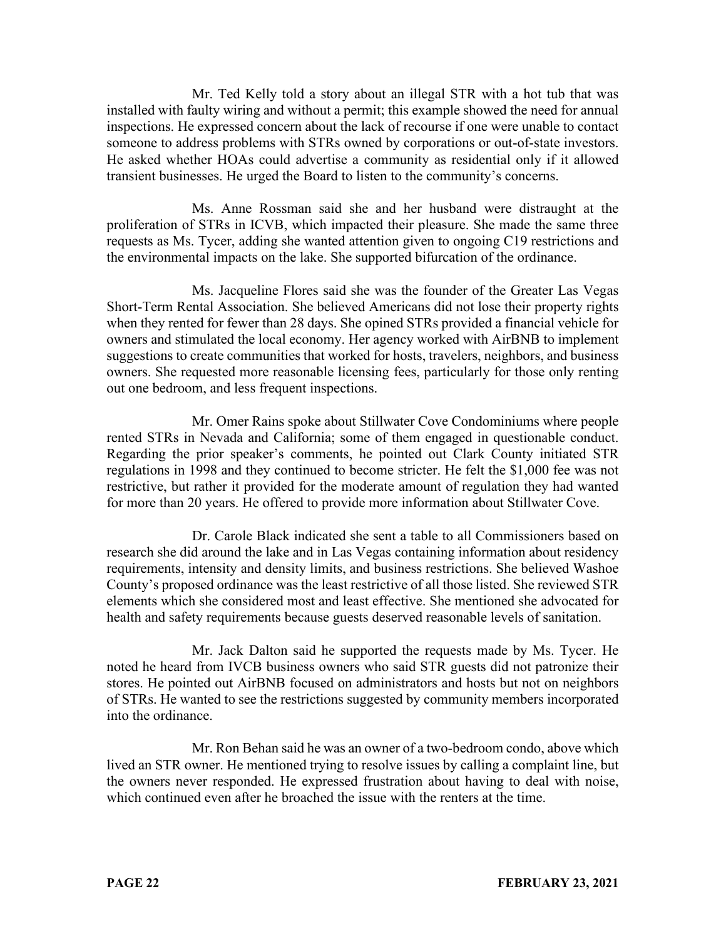Mr. Ted Kelly told a story about an illegal STR with a hot tub that was installed with faulty wiring and without a permit; this example showed the need for annual inspections. He expressed concern about the lack of recourse if one were unable to contact someone to address problems with STRs owned by corporations or out-of-state investors. He asked whether HOAs could advertise a community as residential only if it allowed transient businesses. He urged the Board to listen to the community's concerns.

Ms. Anne Rossman said she and her husband were distraught at the proliferation of STRs in ICVB, which impacted their pleasure. She made the same three requests as Ms. Tycer, adding she wanted attention given to ongoing C19 restrictions and the environmental impacts on the lake. She supported bifurcation of the ordinance.

Ms. Jacqueline Flores said she was the founder of the Greater Las Vegas Short-Term Rental Association. She believed Americans did not lose their property rights when they rented for fewer than 28 days. She opined STRs provided a financial vehicle for owners and stimulated the local economy. Her agency worked with AirBNB to implement suggestions to create communities that worked for hosts, travelers, neighbors, and business owners. She requested more reasonable licensing fees, particularly for those only renting out one bedroom, and less frequent inspections.

Mr. Omer Rains spoke about Stillwater Cove Condominiums where people rented STRs in Nevada and California; some of them engaged in questionable conduct. Regarding the prior speaker's comments, he pointed out Clark County initiated STR regulations in 1998 and they continued to become stricter. He felt the \$1,000 fee was not restrictive, but rather it provided for the moderate amount of regulation they had wanted for more than 20 years. He offered to provide more information about Stillwater Cove.

Dr. Carole Black indicated she sent a table to all Commissioners based on research she did around the lake and in Las Vegas containing information about residency requirements, intensity and density limits, and business restrictions. She believed Washoe County's proposed ordinance was the least restrictive of all those listed. She reviewed STR elements which she considered most and least effective. She mentioned she advocated for health and safety requirements because guests deserved reasonable levels of sanitation.

Mr. Jack Dalton said he supported the requests made by Ms. Tycer. He noted he heard from IVCB business owners who said STR guests did not patronize their stores. He pointed out AirBNB focused on administrators and hosts but not on neighbors of STRs. He wanted to see the restrictions suggested by community members incorporated into the ordinance.

Mr. Ron Behan said he was an owner of a two-bedroom condo, above which lived an STR owner. He mentioned trying to resolve issues by calling a complaint line, but the owners never responded. He expressed frustration about having to deal with noise, which continued even after he broached the issue with the renters at the time.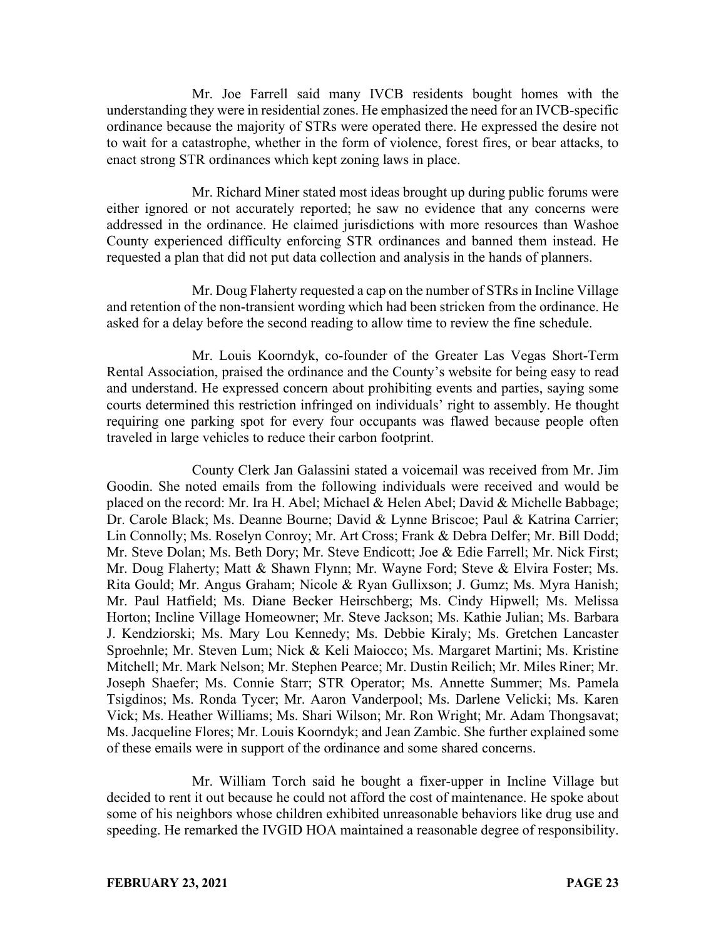Mr. Joe Farrell said many IVCB residents bought homes with the understanding they were in residential zones. He emphasized the need for an IVCB-specific ordinance because the majority of STRs were operated there. He expressed the desire not to wait for a catastrophe, whether in the form of violence, forest fires, or bear attacks, to enact strong STR ordinances which kept zoning laws in place.

Mr. Richard Miner stated most ideas brought up during public forums were either ignored or not accurately reported; he saw no evidence that any concerns were addressed in the ordinance. He claimed jurisdictions with more resources than Washoe County experienced difficulty enforcing STR ordinances and banned them instead. He requested a plan that did not put data collection and analysis in the hands of planners.

Mr. Doug Flaherty requested a cap on the number of STRs in Incline Village and retention of the non-transient wording which had been stricken from the ordinance. He asked for a delay before the second reading to allow time to review the fine schedule.

Mr. Louis Koorndyk, co-founder of the Greater Las Vegas Short-Term Rental Association, praised the ordinance and the County's website for being easy to read and understand. He expressed concern about prohibiting events and parties, saying some courts determined this restriction infringed on individuals' right to assembly. He thought requiring one parking spot for every four occupants was flawed because people often traveled in large vehicles to reduce their carbon footprint.

County Clerk Jan Galassini stated a voicemail was received from Mr. Jim Goodin. She noted emails from the following individuals were received and would be placed on the record: Mr. Ira H. Abel; Michael & Helen Abel; David & Michelle Babbage; Dr. Carole Black; Ms. Deanne Bourne; David & Lynne Briscoe; Paul & Katrina Carrier; Lin Connolly; Ms. Roselyn Conroy; Mr. Art Cross; Frank & Debra Delfer; Mr. Bill Dodd; Mr. Steve Dolan; Ms. Beth Dory; Mr. Steve Endicott; Joe & Edie Farrell; Mr. Nick First; Mr. Doug Flaherty; Matt & Shawn Flynn; Mr. Wayne Ford; Steve & Elvira Foster; Ms. Rita Gould; Mr. Angus Graham; Nicole & Ryan Gullixson; J. Gumz; Ms. Myra Hanish; Mr. Paul Hatfield; Ms. Diane Becker Heirschberg; Ms. Cindy Hipwell; Ms. Melissa Horton; Incline Village Homeowner; Mr. Steve Jackson; Ms. Kathie Julian; Ms. Barbara J. Kendziorski; Ms. Mary Lou Kennedy; Ms. Debbie Kiraly; Ms. Gretchen Lancaster Sproehnle; Mr. Steven Lum; Nick & Keli Maiocco; Ms. Margaret Martini; Ms. Kristine Mitchell; Mr. Mark Nelson; Mr. Stephen Pearce; Mr. Dustin Reilich; Mr. Miles Riner; Mr. Joseph Shaefer; Ms. Connie Starr; STR Operator; Ms. Annette Summer; Ms. Pamela Tsigdinos; Ms. Ronda Tycer; Mr. Aaron Vanderpool; Ms. Darlene Velicki; Ms. Karen Vick; Ms. Heather Williams; Ms. Shari Wilson; Mr. Ron Wright; Mr. Adam Thongsavat; Ms. Jacqueline Flores; Mr. Louis Koorndyk; and Jean Zambic. She further explained some of these emails were in support of the ordinance and some shared concerns.

Mr. William Torch said he bought a fixer-upper in Incline Village but decided to rent it out because he could not afford the cost of maintenance. He spoke about some of his neighbors whose children exhibited unreasonable behaviors like drug use and speeding. He remarked the IVGID HOA maintained a reasonable degree of responsibility.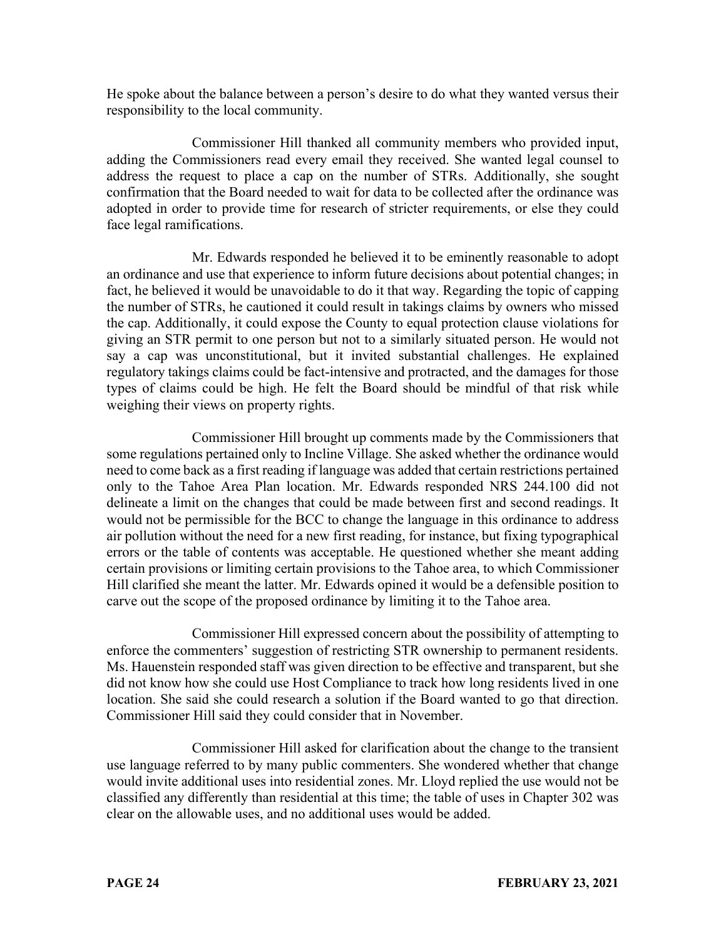He spoke about the balance between a person's desire to do what they wanted versus their responsibility to the local community.

Commissioner Hill thanked all community members who provided input, adding the Commissioners read every email they received. She wanted legal counsel to address the request to place a cap on the number of STRs. Additionally, she sought confirmation that the Board needed to wait for data to be collected after the ordinance was adopted in order to provide time for research of stricter requirements, or else they could face legal ramifications.

Mr. Edwards responded he believed it to be eminently reasonable to adopt an ordinance and use that experience to inform future decisions about potential changes; in fact, he believed it would be unavoidable to do it that way. Regarding the topic of capping the number of STRs, he cautioned it could result in takings claims by owners who missed the cap. Additionally, it could expose the County to equal protection clause violations for giving an STR permit to one person but not to a similarly situated person. He would not say a cap was unconstitutional, but it invited substantial challenges. He explained regulatory takings claims could be fact-intensive and protracted, and the damages for those types of claims could be high. He felt the Board should be mindful of that risk while weighing their views on property rights.

Commissioner Hill brought up comments made by the Commissioners that some regulations pertained only to Incline Village. She asked whether the ordinance would need to come back as a first reading if language was added that certain restrictions pertained only to the Tahoe Area Plan location. Mr. Edwards responded NRS 244.100 did not delineate a limit on the changes that could be made between first and second readings. It would not be permissible for the BCC to change the language in this ordinance to address air pollution without the need for a new first reading, for instance, but fixing typographical errors or the table of contents was acceptable. He questioned whether she meant adding certain provisions or limiting certain provisions to the Tahoe area, to which Commissioner Hill clarified she meant the latter. Mr. Edwards opined it would be a defensible position to carve out the scope of the proposed ordinance by limiting it to the Tahoe area.

Commissioner Hill expressed concern about the possibility of attempting to enforce the commenters' suggestion of restricting STR ownership to permanent residents. Ms. Hauenstein responded staff was given direction to be effective and transparent, but she did not know how she could use Host Compliance to track how long residents lived in one location. She said she could research a solution if the Board wanted to go that direction. Commissioner Hill said they could consider that in November.

Commissioner Hill asked for clarification about the change to the transient use language referred to by many public commenters. She wondered whether that change would invite additional uses into residential zones. Mr. Lloyd replied the use would not be classified any differently than residential at this time; the table of uses in Chapter 302 was clear on the allowable uses, and no additional uses would be added.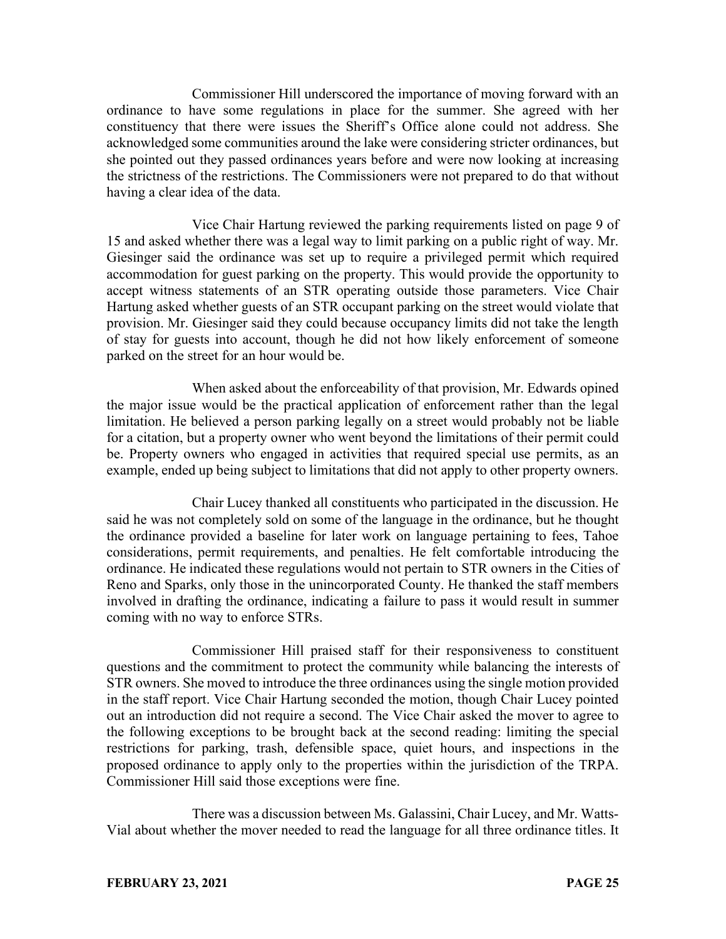Commissioner Hill underscored the importance of moving forward with an ordinance to have some regulations in place for the summer. She agreed with her constituency that there were issues the Sheriff's Office alone could not address. She acknowledged some communities around the lake were considering stricter ordinances, but she pointed out they passed ordinances years before and were now looking at increasing the strictness of the restrictions. The Commissioners were not prepared to do that without having a clear idea of the data.

Vice Chair Hartung reviewed the parking requirements listed on page 9 of 15 and asked whether there was a legal way to limit parking on a public right of way. Mr. Giesinger said the ordinance was set up to require a privileged permit which required accommodation for guest parking on the property. This would provide the opportunity to accept witness statements of an STR operating outside those parameters. Vice Chair Hartung asked whether guests of an STR occupant parking on the street would violate that provision. Mr. Giesinger said they could because occupancy limits did not take the length of stay for guests into account, though he did not how likely enforcement of someone parked on the street for an hour would be.

When asked about the enforceability of that provision, Mr. Edwards opined the major issue would be the practical application of enforcement rather than the legal limitation. He believed a person parking legally on a street would probably not be liable for a citation, but a property owner who went beyond the limitations of their permit could be. Property owners who engaged in activities that required special use permits, as an example, ended up being subject to limitations that did not apply to other property owners.

Chair Lucey thanked all constituents who participated in the discussion. He said he was not completely sold on some of the language in the ordinance, but he thought the ordinance provided a baseline for later work on language pertaining to fees, Tahoe considerations, permit requirements, and penalties. He felt comfortable introducing the ordinance. He indicated these regulations would not pertain to STR owners in the Cities of Reno and Sparks, only those in the unincorporated County. He thanked the staff members involved in drafting the ordinance, indicating a failure to pass it would result in summer coming with no way to enforce STRs.

Commissioner Hill praised staff for their responsiveness to constituent questions and the commitment to protect the community while balancing the interests of STR owners. She moved to introduce the three ordinances using the single motion provided in the staff report. Vice Chair Hartung seconded the motion, though Chair Lucey pointed out an introduction did not require a second. The Vice Chair asked the mover to agree to the following exceptions to be brought back at the second reading: limiting the special restrictions for parking, trash, defensible space, quiet hours, and inspections in the proposed ordinance to apply only to the properties within the jurisdiction of the TRPA. Commissioner Hill said those exceptions were fine.

There was a discussion between Ms. Galassini, Chair Lucey, and Mr. Watts-Vial about whether the mover needed to read the language for all three ordinance titles. It